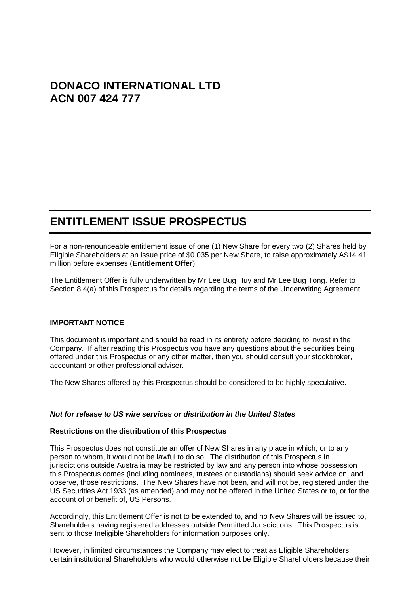# **DONACO INTERNATIONAL LTD ACN 007 424 777**

# **ENTITLEMENT ISSUE PROSPECTUS**

For a non-renounceable entitlement issue of one (1) New Share for every two (2) Shares held by Eligible Shareholders at an issue price of \$0.035 per New Share, to raise approximately A\$14.41 million before expenses (**Entitlement Offer**).

The Entitlement Offer is fully underwritten by Mr Lee Bug Huy and Mr Lee Bug Tong. Refer to Section [8.4\(](#page-41-0)a) of this Prospectus for details regarding the terms of the Underwriting Agreement.

## **IMPORTANT NOTICE**

This document is important and should be read in its entirety before deciding to invest in the Company. If after reading this Prospectus you have any questions about the securities being offered under this Prospectus or any other matter, then you should consult your stockbroker, accountant or other professional adviser.

The New Shares offered by this Prospectus should be considered to be highly speculative.

## *Not for release to US wire services or distribution in the United States*

#### **Restrictions on the distribution of this Prospectus**

This Prospectus does not constitute an offer of New Shares in any place in which, or to any person to whom, it would not be lawful to do so. The distribution of this Prospectus in jurisdictions outside Australia may be restricted by law and any person into whose possession this Prospectus comes (including nominees, trustees or custodians) should seek advice on, and observe, those restrictions. The New Shares have not been, and will not be, registered under the US Securities Act 1933 (as amended) and may not be offered in the United States or to, or for the account of or benefit of, US Persons.

Accordingly, this Entitlement Offer is not to be extended to, and no New Shares will be issued to, Shareholders having registered addresses outside Permitted Jurisdictions. This Prospectus is sent to those Ineligible Shareholders for information purposes only.

However, in limited circumstances the Company may elect to treat as Eligible Shareholders certain institutional Shareholders who would otherwise not be Eligible Shareholders because their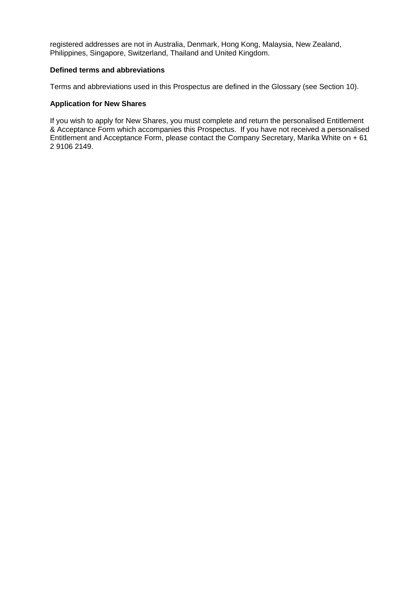registered addresses are not in Australia, Denmark, Hong Kong, Malaysia, New Zealand, Philippines, Singapore, Switzerland, Thailand and United Kingdom.

## **Defined terms and abbreviations**

Terms and abbreviations used in this Prospectus are defined in the Glossary (see Section 10).

## **Application for New Shares**

If you wish to apply for New Shares, you must complete and return the personalised Entitlement & Acceptance Form which accompanies this Prospectus. If you have not received a personalised Entitlement and Acceptance Form, please contact the Company Secretary, Marika White on + 61 2 9106 2149.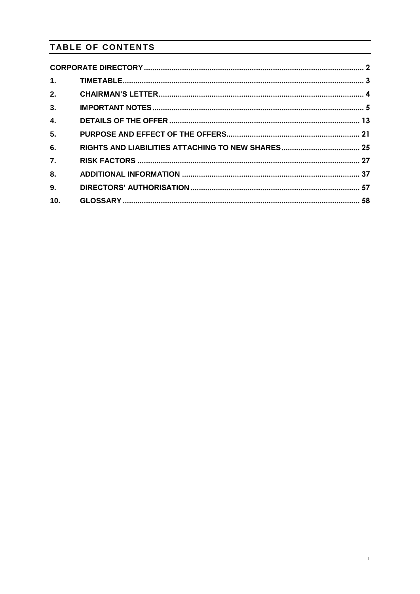# TABLE OF CONTENTS

| 1 <sub>1</sub> |  |
|----------------|--|
| 2.             |  |
| 3.             |  |
| 4.             |  |
| 5.             |  |
| 6.             |  |
| 7.             |  |
| 8.             |  |
| 9.             |  |
| 10.            |  |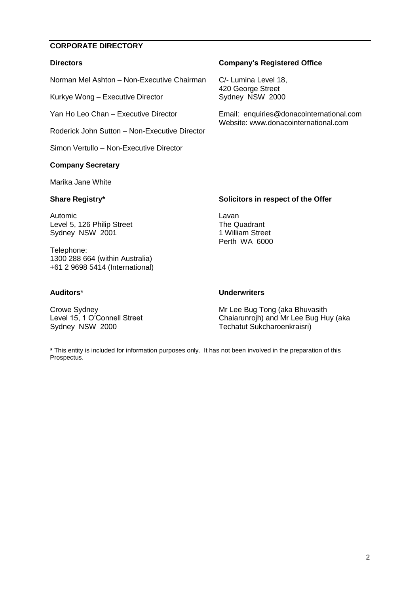# <span id="page-3-0"></span>**CORPORATE DIRECTORY**

## **Directors**

Norman Mel Ashton – Non-Executive Chairman

Kurkye Wong – Executive Director

Yan Ho Leo Chan – Executive Director

Roderick John Sutton – Non-Executive Director

Simon Vertullo – Non-Executive Director

## **Company Secretary**

Marika Jane White

## **Share Registry\***

Automic Level 5, 126 Philip Street Sydney NSW 2001

Telephone: 1300 288 664 (within Australia) +61 2 9698 5414 (International)

## **Auditors**\*

Crowe Sydney

Sydney NSW 2000

**Underwriters**

Lavan

The Quadrant 1 William Street Perth WA 6000

Level 15, 1 O'Connell Street Mr Lee Bug Tong (aka Bhuvasith Chaiarunrojh) and Mr Lee Bug Huy (aka Techatut Sukcharoenkraisri)

**\*** This entity is included for information purposes only. It has not been involved in the preparation of this Prospectus.

**Company's Registered Office**

C/- Lumina Level 18, 420 George Street Sydney NSW 2000

Email: enquiries@donacointernational.com Website: www.donacointernational.com

**Solicitors in respect of the Offer**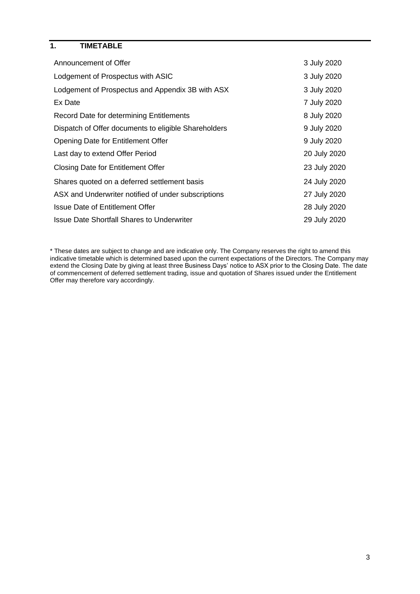# <span id="page-4-0"></span>**1. TIMETABLE**

| 3 July 2020  |
|--------------|
| 3 July 2020  |
| 3 July 2020  |
| 7 July 2020  |
| 8 July 2020  |
| 9 July 2020  |
| 9 July 2020  |
| 20 July 2020 |
| 23 July 2020 |
| 24 July 2020 |
| 27 July 2020 |
| 28 July 2020 |
| 29 July 2020 |
|              |

\* These dates are subject to change and are indicative only. The Company reserves the right to amend this indicative timetable which is determined based upon the current expectations of the Directors. The Company may extend the Closing Date by giving at least three Business Days' notice to ASX prior to the Closing Date. The date of commencement of deferred settlement trading, issue and quotation of Shares issued under the Entitlement Offer may therefore vary accordingly.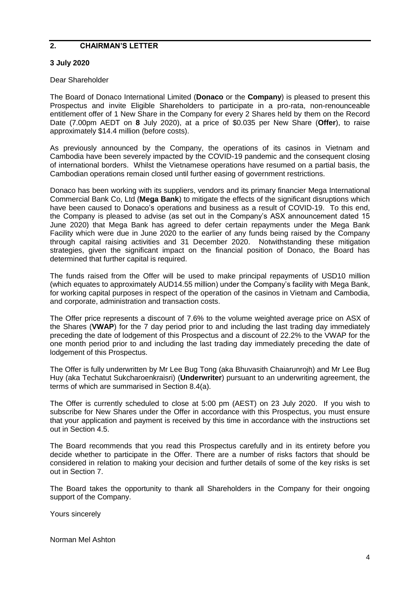## <span id="page-5-0"></span>**2. CHAIRMAN'S LETTER**

## **3 July 2020**

## Dear Shareholder

The Board of Donaco International Limited (**Donaco** or the **Company**) is pleased to present this Prospectus and invite Eligible Shareholders to participate in a pro-rata, non-renounceable entitlement offer of 1 New Share in the Company for every 2 Shares held by them on the Record Date (7.00pm AEDT on **8** July 2020), at a price of \$0.035 per New Share (**Offer**), to raise approximately \$14.4 million (before costs).

As previously announced by the Company, the operations of its casinos in Vietnam and Cambodia have been severely impacted by the COVID-19 pandemic and the consequent closing of international borders. Whilst the Vietnamese operations have resumed on a partial basis, the Cambodian operations remain closed until further easing of government restrictions.

Donaco has been working with its suppliers, vendors and its primary financier Mega International Commercial Bank Co, Ltd (**Mega Bank**) to mitigate the effects of the significant disruptions which have been caused to Donaco's operations and business as a result of COVID-19. To this end, the Company is pleased to advise (as set out in the Company's ASX announcement dated 15 June 2020) that Mega Bank has agreed to defer certain repayments under the Mega Bank Facility which were due in June 2020 to the earlier of any funds being raised by the Company through capital raising activities and 31 December 2020. Notwithstanding these mitigation strategies, given the significant impact on the financial position of Donaco, the Board has determined that further capital is required.

The funds raised from the Offer will be used to make principal repayments of USD10 million (which equates to approximately AUD14.55 million) under the Company's facility with Mega Bank, for working capital purposes in respect of the operation of the casinos in Vietnam and Cambodia, and corporate, administration and transaction costs.

The Offer price represents a discount of 7.6% to the volume weighted average price on ASX of the Shares (**VWAP**) for the 7 day period prior to and including the last trading day immediately preceding the date of lodgement of this Prospectus and a discount of 22.2% to the VWAP for the one month period prior to and including the last trading day immediately preceding the date of lodgement of this Prospectus.

The Offer is fully underwritten by Mr Lee Bug Tong (aka Bhuvasith Chaiarunrojh) and Mr Lee Bug Huy (aka Techatut Sukcharoenkraisri) (**Underwriter**) pursuant to an underwriting agreement, the terms of which are summarised in Section 8.4(a).

The Offer is currently scheduled to close at 5:00 pm (AEST) on 23 July 2020. If you wish to subscribe for New Shares under the Offer in accordance with this Prospectus, you must ensure that your application and payment is received by this time in accordance with the instructions set out in Section 4.5.

The Board recommends that you read this Prospectus carefully and in its entirety before you decide whether to participate in the Offer. There are a number of risks factors that should be considered in relation to making your decision and further details of some of the key risks is set out in Section 7.

The Board takes the opportunity to thank all Shareholders in the Company for their ongoing support of the Company.

Yours sincerely

Norman Mel Ashton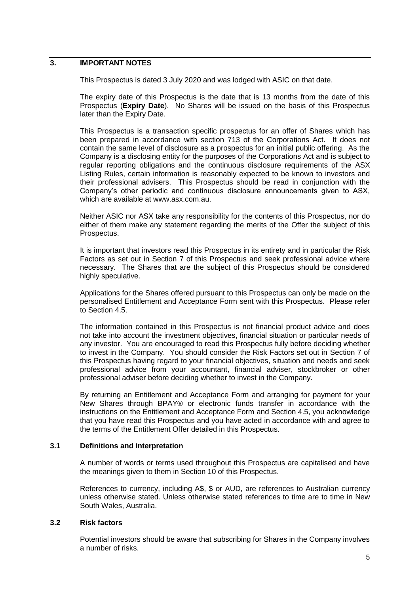## <span id="page-6-0"></span>**3. IMPORTANT NOTES**

This Prospectus is dated 3 July 2020 and was lodged with ASIC on that date.

The expiry date of this Prospectus is the date that is 13 months from the date of this Prospectus (**Expiry Date**). No Shares will be issued on the basis of this Prospectus later than the Expiry Date.

This Prospectus is a transaction specific prospectus for an offer of Shares which has been prepared in accordance with section 713 of the Corporations Act. It does not contain the same level of disclosure as a prospectus for an initial public offering. As the Company is a disclosing entity for the purposes of the Corporations Act and is subject to regular reporting obligations and the continuous disclosure requirements of the ASX Listing Rules, certain information is reasonably expected to be known to investors and their professional advisers. This Prospectus should be read in conjunction with the Company's other periodic and continuous disclosure announcements given to ASX, which are available at www.asx.com.au.

Neither ASIC nor ASX take any responsibility for the contents of this Prospectus, nor do either of them make any statement regarding the merits of the Offer the subject of this Prospectus.

It is important that investors read this Prospectus in its entirety and in particular the Risk Factors as set out in Section 7 of this Prospectus and seek professional advice where necessary. The Shares that are the subject of this Prospectus should be considered highly speculative.

Applications for the Shares offered pursuant to this Prospectus can only be made on the personalised Entitlement and Acceptance Form sent with this Prospectus. Please refer to Section 4.5.

The information contained in this Prospectus is not financial product advice and does not take into account the investment objectives, financial situation or particular needs of any investor. You are encouraged to read this Prospectus fully before deciding whether to invest in the Company. You should consider the Risk Factors set out in Section 7 of this Prospectus having regard to your financial objectives, situation and needs and seek professional advice from your accountant, financial adviser, stockbroker or other professional adviser before deciding whether to invest in the Company.

By returning an Entitlement and Acceptance Form and arranging for payment for your New Shares through BPAY® or electronic funds transfer in accordance with the instructions on the Entitlement and Acceptance Form and Section 4.5, you acknowledge that you have read this Prospectus and you have acted in accordance with and agree to the terms of the Entitlement Offer detailed in this Prospectus.

#### **3.1 Definitions and interpretation**

A number of words or terms used throughout this Prospectus are capitalised and have the meanings given to them in Section 10 of this Prospectus.

References to currency, including A\$, \$ or AUD, are references to Australian currency unless otherwise stated. Unless otherwise stated references to time are to time in New South Wales, Australia.

## **3.2 Risk factors**

Potential investors should be aware that subscribing for Shares in the Company involves a number of risks.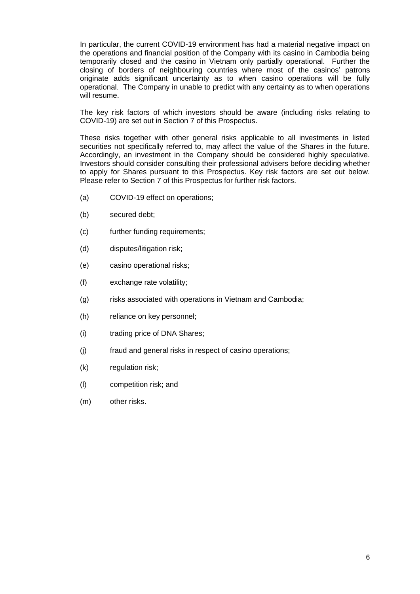In particular, the current COVID-19 environment has had a material negative impact on the operations and financial position of the Company with its casino in Cambodia being temporarily closed and the casino in Vietnam only partially operational. Further the closing of borders of neighbouring countries where most of the casinos' patrons originate adds significant uncertainty as to when casino operations will be fully operational. The Company in unable to predict with any certainty as to when operations will resume.

The key risk factors of which investors should be aware (including risks relating to COVID-19) are set out in Section [7](#page-28-0) of this Prospectus.

These risks together with other general risks applicable to all investments in listed securities not specifically referred to, may affect the value of the Shares in the future. Accordingly, an investment in the Company should be considered highly speculative. Investors should consider consulting their professional advisers before deciding whether to apply for Shares pursuant to this Prospectus. Key risk factors are set out below. Please refer to Section [7](#page-28-0) of this Prospectus for further risk factors.

- (a) COVID-19 effect on operations;
- (b) secured debt;
- (c) further funding requirements;
- (d) disputes/litigation risk;
- (e) casino operational risks;
- (f) exchange rate volatility;
- (g) risks associated with operations in Vietnam and Cambodia;
- (h) reliance on key personnel;
- (i) trading price of DNA Shares;
- (j) fraud and general risks in respect of casino operations;
- (k) regulation risk;
- (l) competition risk; and
- (m) other risks.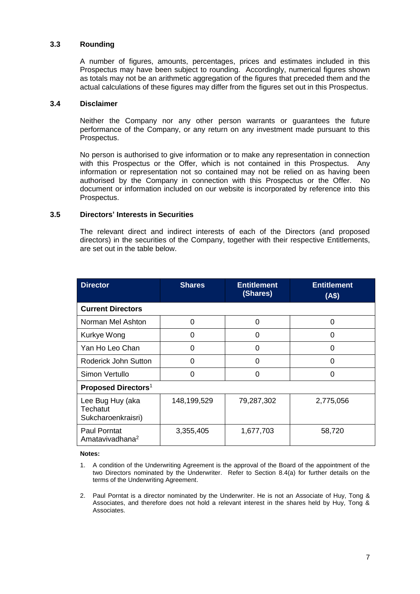## **3.3 Rounding**

A number of figures, amounts, percentages, prices and estimates included in this Prospectus may have been subject to rounding. Accordingly, numerical figures shown as totals may not be an arithmetic aggregation of the figures that preceded them and the actual calculations of these figures may differ from the figures set out in this Prospectus.

#### **3.4 Disclaimer**

Neither the Company nor any other person warrants or guarantees the future performance of the Company, or any return on any investment made pursuant to this Prospectus.

No person is authorised to give information or to make any representation in connection with this Prospectus or the Offer, which is not contained in this Prospectus. Any information or representation not so contained may not be relied on as having been authorised by the Company in connection with this Prospectus or the Offer. No document or information included on our website is incorporated by reference into this Prospectus.

#### **3.5 Directors' Interests in Securities**

The relevant direct and indirect interests of each of the Directors (and proposed directors) in the securities of the Company, together with their respective Entitlements, are set out in the table below.

| <b>Director</b>                                    | <b>Shares</b> | <b>Entitlement</b><br>(Shares) | <b>Entitlement</b><br>(AS) |  |
|----------------------------------------------------|---------------|--------------------------------|----------------------------|--|
| <b>Current Directors</b>                           |               |                                |                            |  |
| Norman Mel Ashton                                  | $\Omega$      | $\Omega$                       | 0                          |  |
| Kurkye Wong                                        | $\Omega$      | $\Omega$                       | 0                          |  |
| Yan Ho Leo Chan                                    | 0             | 0                              | 0                          |  |
| Roderick John Sutton                               | O             | O                              | O                          |  |
| Simon Vertullo                                     | 0             | O                              | ი                          |  |
| <b>Proposed Directors<sup>1</sup></b>              |               |                                |                            |  |
| Lee Bug Huy (aka<br>Techatut<br>Sukcharoenkraisri) | 148,199,529   | 79,287,302                     | 2,775,056                  |  |
| Paul Porntat<br>Amatavivadhana <sup>2</sup>        | 3,355,405     | 1,677,703                      | 58,720                     |  |

**Notes:** 

- 1. A condition of the Underwriting Agreement is the approval of the Board of the appointment of the two Directors nominated by the Underwriter. Refer to Section [8.4\(a\)](#page-41-1) for further details on the terms of the Underwriting Agreement.
- 2. Paul Porntat is a director nominated by the Underwriter. He is not an Associate of Huy, Tong & Associates, and therefore does not hold a relevant interest in the shares held by Huy, Tong & Associates.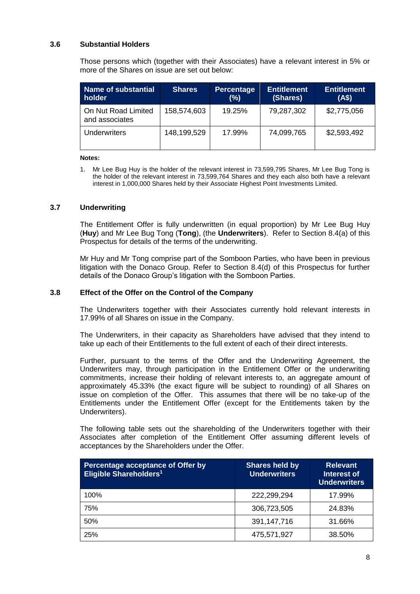## **3.6 Substantial Holders**

Those persons which (together with their Associates) have a relevant interest in 5% or more of the Shares on issue are set out below:

| Name of substantial<br>holder         | <b>Shares</b> | <b>Percentage</b><br>(%) | <b>Entitlement</b><br>(Shares) | <b>Entitlement</b><br>(AS) |
|---------------------------------------|---------------|--------------------------|--------------------------------|----------------------------|
| On Nut Road Limited<br>and associates | 158,574,603   | 19.25%                   | 79,287,302                     | \$2,775,056                |
| <b>Underwriters</b>                   | 148,199,529   | 17.99%                   | 74,099,765                     | \$2,593,492                |

#### **Notes:**

1. Mr Lee Bug Huy is the holder of the relevant interest in 73,599,795 Shares, Mr Lee Bug Tong is the holder of the relevant interest in 73,599,764 Shares and they each also both have a relevant interest in 1,000,000 Shares held by their Associate Highest Point Investments Limited.

## **3.7 Underwriting**

The Entitlement Offer is fully underwritten (in equal proportion) by Mr Lee Bug Huy (**Huy**) and Mr Lee Bug Tong (**Tong**), (the **Underwriters**). Refer to Section [8.4\(](#page-41-0)a) of this Prospectus for details of the terms of the underwriting.

Mr Huy and Mr Tong comprise part of the Somboon Parties, who have been in previous litigation with the Donaco Group. Refer to Section 8.4(d) of this Prospectus for further details of the Donaco Group's litigation with the Somboon Parties.

#### **3.8 Effect of the Offer on the Control of the Company**

The Underwriters together with their Associates currently hold relevant interests in 17.99% of all Shares on issue in the Company.

The Underwriters, in their capacity as Shareholders have advised that they intend to take up each of their Entitlements to the full extent of each of their direct interests.

Further, pursuant to the terms of the Offer and the Underwriting Agreement, the Underwriters may, through participation in the Entitlement Offer or the underwriting commitments, increase their holding of relevant interests to, an aggregate amount of approximately 45.33% (the exact figure will be subject to rounding) of all Shares on issue on completion of the Offer. This assumes that there will be no take-up of the Entitlements under the Entitlement Offer (except for the Entitlements taken by the Underwriters).

The following table sets out the shareholding of the Underwriters together with their Associates after completion of the Entitlement Offer assuming different levels of acceptances by the Shareholders under the Offer.

| Percentage acceptance of Offer by<br><b>Eligible Shareholders1</b> | <b>Shares held by</b><br><b>Underwriters</b> | <b>Relevant</b><br>Interest of<br><b>Underwriters</b> |
|--------------------------------------------------------------------|----------------------------------------------|-------------------------------------------------------|
| 100%                                                               | 222,299,294                                  | 17.99%                                                |
| 75%                                                                | 306,723,505                                  | 24.83%                                                |
| 50%                                                                | 391,147,716                                  | 31.66%                                                |
| 25%                                                                | 475,571,927                                  | 38.50%                                                |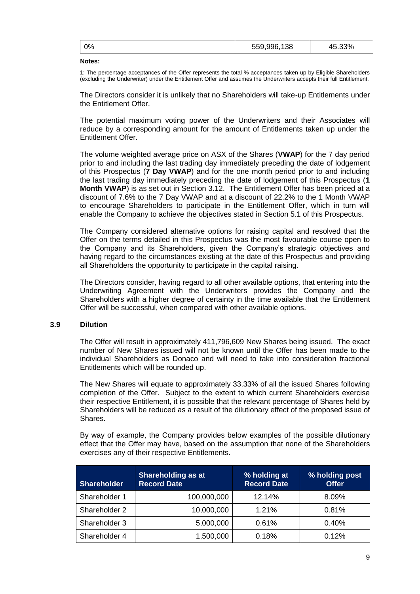|  | 0% | 559,996,<br>138 | $.33\%$ |
|--|----|-----------------|---------|
|--|----|-----------------|---------|

#### **Notes:**

1: The percentage acceptances of the Offer represents the total % acceptances taken up by Eligible Shareholders (excluding the Underwriter) under the Entitlement Offer and assumes the Underwriters accepts their full Entitlement.

The Directors consider it is unlikely that no Shareholders will take-up Entitlements under the Entitlement Offer.

The potential maximum voting power of the Underwriters and their Associates will reduce by a corresponding amount for the amount of Entitlements taken up under the Entitlement Offer.

The volume weighted average price on ASX of the Shares (**VWAP**) for the 7 day period prior to and including the last trading day immediately preceding the date of lodgement of this Prospectus (**7 Day VWAP**) and for the one month period prior to and including the last trading day immediately preceding the date of lodgement of this Prospectus (**1 Month VWAP**) is as set out in Section 3.12. The Entitlement Offer has been priced at a discount of 7.6% to the 7 Day VWAP and at a discount of 22.2% to the 1 Month VWAP to encourage Shareholders to participate in the Entitlement Offer, which in turn will enable the Company to achieve the objectives stated in Sectio[n 5.1](#page-22-1) of this Prospectus.

The Company considered alternative options for raising capital and resolved that the Offer on the terms detailed in this Prospectus was the most favourable course open to the Company and its Shareholders, given the Company's strategic objectives and having regard to the circumstances existing at the date of this Prospectus and providing all Shareholders the opportunity to participate in the capital raising.

The Directors consider, having regard to all other available options, that entering into the Underwriting Agreement with the Underwriters provides the Company and the Shareholders with a higher degree of certainty in the time available that the Entitlement Offer will be successful, when compared with other available options.

## **3.9 Dilution**

The Offer will result in approximately 411,796,609 New Shares being issued. The exact number of New Shares issued will not be known until the Offer has been made to the individual Shareholders as Donaco and will need to take into consideration fractional Entitlements which will be rounded up.

The New Shares will equate to approximately 33.33% of all the issued Shares following completion of the Offer. Subject to the extent to which current Shareholders exercise their respective Entitlement, it is possible that the relevant percentage of Shares held by Shareholders will be reduced as a result of the dilutionary effect of the proposed issue of Shares.

By way of example, the Company provides below examples of the possible dilutionary effect that the Offer may have, based on the assumption that none of the Shareholders exercises any of their respective Entitlements.

| <b>Shareholder</b> | <b>Shareholding as at</b><br><b>Record Date</b> | % holding at<br><b>Record Date</b> | % holding post<br><b>Offer</b> |
|--------------------|-------------------------------------------------|------------------------------------|--------------------------------|
| Shareholder 1      | 100,000,000                                     | 12.14%                             | 8.09%                          |
| Shareholder 2      | 10,000,000                                      | 1.21%                              | 0.81%                          |
| Shareholder 3      | 5,000,000                                       | 0.61%                              | 0.40%                          |
| Shareholder 4      | 1,500,000                                       | 0.18%                              | 0.12%                          |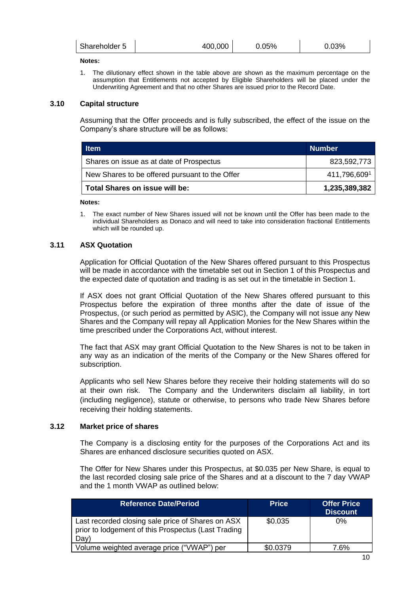| Shareholder 5 | 400.000 | 0.05% | $.03\%$ |
|---------------|---------|-------|---------|
|               |         |       |         |

#### **Notes:**

1. The dilutionary effect shown in the table above are shown as the maximum percentage on the assumption that Entitlements not accepted by Eligible Shareholders will be placed under the Underwriting Agreement and that no other Shares are issued prior to the Record Date.

#### **3.10 Capital structure**

Assuming that the Offer proceeds and is fully subscribed, the effect of the issue on the Company's share structure will be as follows:

| <b>Item</b>                                    | <b>Number</b> |
|------------------------------------------------|---------------|
| Shares on issue as at date of Prospectus       | 823,592,773   |
| New Shares to be offered pursuant to the Offer | 411,796,6091  |
| Total Shares on issue will be:                 | 1,235,389,382 |

**Notes:** 

1. The exact number of New Shares issued will not be known until the Offer has been made to the individual Shareholders as Donaco and will need to take into consideration fractional Entitlements which will be rounded up.

## **3.11 ASX Quotation**

Application for Official Quotation of the New Shares offered pursuant to this Prospectus will be made in accordance with the timetable set out in Section 1 of this Prospectus and the expected date of quotation and trading is as set out in the timetable in Section 1.

If ASX does not grant Official Quotation of the New Shares offered pursuant to this Prospectus before the expiration of three months after the date of issue of the Prospectus, (or such period as permitted by ASIC), the Company will not issue any New Shares and the Company will repay all Application Monies for the New Shares within the time prescribed under the Corporations Act, without interest.

The fact that ASX may grant Official Quotation to the New Shares is not to be taken in any way as an indication of the merits of the Company or the New Shares offered for subscription.

Applicants who sell New Shares before they receive their holding statements will do so at their own risk. The Company and the Underwriters disclaim all liability, in tort (including negligence), statute or otherwise, to persons who trade New Shares before receiving their holding statements.

#### **3.12 Market price of shares**

The Company is a disclosing entity for the purposes of the Corporations Act and its Shares are enhanced disclosure securities quoted on ASX.

The Offer for New Shares under this Prospectus, at \$0.035 per New Share, is equal to the last recorded closing sale price of the Shares and at a discount to the 7 day VWAP and the 1 month VWAP as outlined below:

| <b>Reference Date/Period</b>                                                                                     | <b>Price</b> | <b>Offer Price</b><br><b>Discount</b> |
|------------------------------------------------------------------------------------------------------------------|--------------|---------------------------------------|
| Last recorded closing sale price of Shares on ASX<br>prior to lodgement of this Prospectus (Last Trading<br>Day) | \$0.035      | $0\%$                                 |
| Volume weighted average price ("VWAP") per                                                                       | \$0.0379     | 7.6%                                  |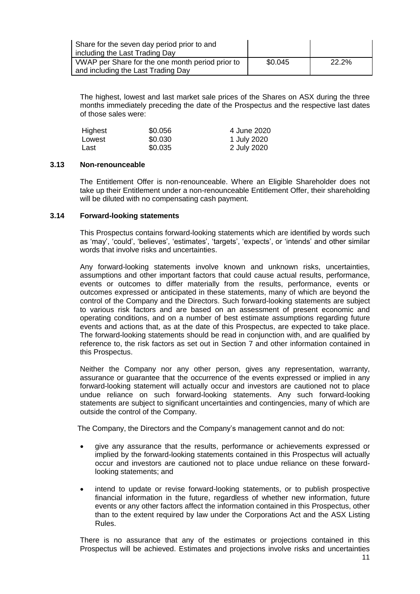| Share for the seven day period prior to and<br>including the Last Trading Day          |         |       |
|----------------------------------------------------------------------------------------|---------|-------|
| VWAP per Share for the one month period prior to<br>and including the Last Trading Day | \$0.045 | 22.2% |

The highest, lowest and last market sale prices of the Shares on ASX during the three months immediately preceding the date of the Prospectus and the respective last dates of those sales were:

| Highest | \$0.056 | 4 June 2020 |
|---------|---------|-------------|
| Lowest  | \$0.030 | 1 July 2020 |
| Last    | \$0.035 | 2 July 2020 |

## **3.13 Non-renounceable**

The Entitlement Offer is non-renounceable. Where an Eligible Shareholder does not take up their Entitlement under a non-renounceable Entitlement Offer, their shareholding will be diluted with no compensating cash payment.

## **3.14 Forward-looking statements**

This Prospectus contains forward-looking statements which are identified by words such as 'may', 'could', 'believes', 'estimates', 'targets', 'expects', or 'intends' and other similar words that involve risks and uncertainties.

Any forward-looking statements involve known and unknown risks, uncertainties, assumptions and other important factors that could cause actual results, performance, events or outcomes to differ materially from the results, performance, events or outcomes expressed or anticipated in these statements, many of which are beyond the control of the Company and the Directors. Such forward-looking statements are subject to various risk factors and are based on an assessment of present economic and operating conditions, and on a number of best estimate assumptions regarding future events and actions that, as at the date of this Prospectus, are expected to take place. The forward-looking statements should be read in conjunction with, and are qualified by reference to, the risk factors as set out in Section [7](#page-28-0) and other information contained in this Prospectus.

Neither the Company nor any other person, gives any representation, warranty, assurance or guarantee that the occurrence of the events expressed or implied in any forward-looking statement will actually occur and investors are cautioned not to place undue reliance on such forward-looking statements. Any such forward-looking statements are subject to significant uncertainties and contingencies, many of which are outside the control of the Company.

The Company, the Directors and the Company's management cannot and do not:

- give any assurance that the results, performance or achievements expressed or implied by the forward-looking statements contained in this Prospectus will actually occur and investors are cautioned not to place undue reliance on these forwardlooking statements; and
- intend to update or revise forward-looking statements, or to publish prospective financial information in the future, regardless of whether new information, future events or any other factors affect the information contained in this Prospectus, other than to the extent required by law under the Corporations Act and the ASX Listing Rules.

There is no assurance that any of the estimates or projections contained in this Prospectus will be achieved. Estimates and projections involve risks and uncertainties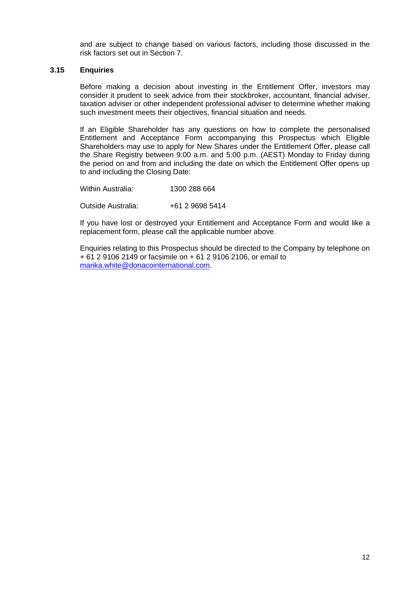and are subject to change based on various factors, including those discussed in the risk factors set out in Section [7.](#page-28-0)

## **3.15 Enquiries**

Before making a decision about investing in the Entitlement Offer, investors may consider it prudent to seek advice from their stockbroker, accountant, financial adviser, taxation adviser or other independent professional adviser to determine whether making such investment meets their objectives, financial situation and needs.

If an Eligible Shareholder has any questions on how to complete the personalised Entitlement and Acceptance Form accompanying this Prospectus which Eligible Shareholders may use to apply for New Shares under the Entitlement Offer, please call the Share Registry between 9:00 a.m. and 5:00 p.m. (AEST) Monday to Friday during the period on and from and including the date on which the Entitlement Offer opens up to and including the Closing Date:

Within Australia: 1300 288 664

Outside Australia: +61 2 9698 5414

If you have lost or destroyed your Entitlement and Acceptance Form and would like a replacement form, please call the applicable number above.

Enquiries relating to this Prospectus should be directed to the Company by telephone on + 61 2 9106 2149 or facsimile on + 61 2 9106 2106, or email to [marika.white@donacointernational.com.](mailto:marika.white@donacointernational.com)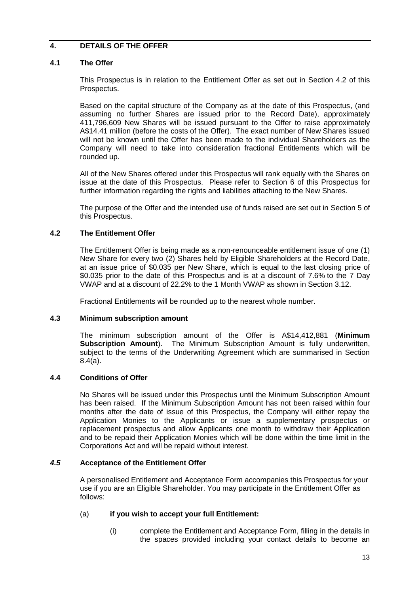# <span id="page-14-0"></span>**4. DETAILS OF THE OFFER**

## **4.1 The Offer**

This Prospectus is in relation to the Entitlement Offer as set out in Section 4.2 of this Prospectus.

Based on the capital structure of the Company as at the date of this Prospectus, (and assuming no further Shares are issued prior to the Record Date), approximately 411,796,609 New Shares will be issued pursuant to the Offer to raise approximately A\$14.41 million (before the costs of the Offer). The exact number of New Shares issued will not be known until the Offer has been made to the individual Shareholders as the Company will need to take into consideration fractional Entitlements which will be rounded up.

All of the New Shares offered under this Prospectus will rank equally with the Shares on issue at the date of this Prospectus. Please refer to Section [6](#page-26-0) of this Prospectus for further information regarding the rights and liabilities attaching to the New Shares.

The purpose of the Offer and the intended use of funds raised are set out in Section 5 of this Prospectus.

## **4.2 The Entitlement Offer**

The Entitlement Offer is being made as a non-renounceable entitlement issue of one (1) New Share for every two (2) Shares held by Eligible Shareholders at the Record Date, at an issue price of \$0.035 per New Share, which is equal to the last closing price of \$0.035 prior to the date of this Prospectus and is at a discount of 7.6% to the 7 Day VWAP and at a discount of 22.2% to the 1 Month VWAP as shown in Section 3.12.

Fractional Entitlements will be rounded up to the nearest whole number.

## **4.3 Minimum subscription amount**

The minimum subscription amount of the Offer is A\$14,412,881 (**Minimum Subscription Amount**). The Minimum Subscription Amount is fully underwritten, subject to the terms of the Underwriting Agreement which are summarised in Section 8.4(a).

## **4.4 Conditions of Offer**

No Shares will be issued under this Prospectus until the Minimum Subscription Amount has been raised. If the Minimum Subscription Amount has not been raised within four months after the date of issue of this Prospectus, the Company will either repay the Application Monies to the Applicants or issue a supplementary prospectus or replacement prospectus and allow Applicants one month to withdraw their Application and to be repaid their Application Monies which will be done within the time limit in the Corporations Act and will be repaid without interest.

## *4.5* **Acceptance of the Entitlement Offer**

A personalised Entitlement and Acceptance Form accompanies this Prospectus for your use if you are an Eligible Shareholder. You may participate in the Entitlement Offer as follows:

## (a) **if you wish to accept your full Entitlement:**

(i) complete the Entitlement and Acceptance Form, filling in the details in the spaces provided including your contact details to become an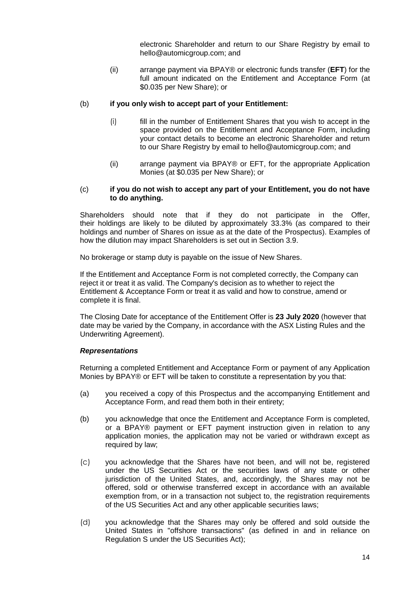electronic Shareholder and return to our Share Registry by email to hello@automicgroup.com; and

(ii) arrange payment via BPAY® or electronic funds transfer (**EFT**) for the full amount indicated on the Entitlement and Acceptance Form (at \$0.035 per New Share); or

## (b) **if you only wish to accept part of your Entitlement:**

- (i) fill in the number of Entitlement Shares that you wish to accept in the space provided on the Entitlement and Acceptance Form, including your contact details to become an electronic Shareholder and return to our Share Registry by email to hello@automicgroup.com; and
- (ii) arrange payment via BPAY® or EFT, for the appropriate Application Monies (at \$0.035 per New Share); or

#### (c) **if you do not wish to accept any part of your Entitlement, you do not have to do anything.**

Shareholders should note that if they do not participate in the Offer, their holdings are likely to be diluted by approximately 33.3% (as compared to their holdings and number of Shares on issue as at the date of the Prospectus). Examples of how the dilution may impact Shareholders is set out in Section 3.9.

No brokerage or stamp duty is payable on the issue of New Shares.

If the Entitlement and Acceptance Form is not completed correctly, the Company can reject it or treat it as valid. The Company's decision as to whether to reject the Entitlement & Acceptance Form or treat it as valid and how to construe, amend or complete it is final.

The Closing Date for acceptance of the Entitlement Offer is **23 July 2020** (however that date may be varied by the Company, in accordance with the ASX Listing Rules and the Underwriting Agreement).

## *Representations*

Returning a completed Entitlement and Acceptance Form or payment of any Application Monies by BPAY® or EFT will be taken to constitute a representation by you that:

- (a) you received a copy of this Prospectus and the accompanying Entitlement and Acceptance Form, and read them both in their entirety;
- (b) you acknowledge that once the Entitlement and Acceptance Form is completed, or a BPAY® payment or EFT payment instruction given in relation to any application monies, the application may not be varied or withdrawn except as required by law;
- (c) you acknowledge that the Shares have not been, and will not be, registered under the US Securities Act or the securities laws of any state or other jurisdiction of the United States, and, accordingly, the Shares may not be offered, sold or otherwise transferred except in accordance with an available exemption from, or in a transaction not subject to, the registration requirements of the US Securities Act and any other applicable securities laws;
- (d) you acknowledge that the Shares may only be offered and sold outside the United States in "offshore transactions" (as defined in and in reliance on Regulation S under the US Securities Act);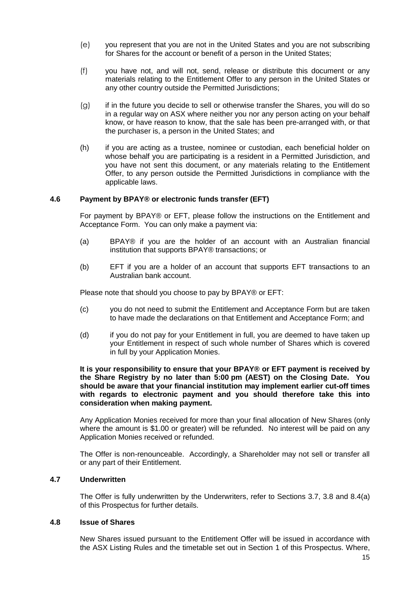- (e) you represent that you are not in the United States and you are not subscribing for Shares for the account or benefit of a person in the United States;
- (f) you have not, and will not, send, release or distribute this document or any materials relating to the Entitlement Offer to any person in the United States or any other country outside the Permitted Jurisdictions;
- (g) if in the future you decide to sell or otherwise transfer the Shares, you will do so in a regular way on ASX where neither you nor any person acting on your behalf know, or have reason to know, that the sale has been pre-arranged with, or that the purchaser is, a person in the United States; and
- (h) if you are acting as a trustee, nominee or custodian, each beneficial holder on whose behalf you are participating is a resident in a Permitted Jurisdiction, and you have not sent this document, or any materials relating to the Entitlement Offer, to any person outside the Permitted Jurisdictions in compliance with the applicable laws.

## **4.6 Payment by BPAY® or electronic funds transfer (EFT)**

For payment by BPAY® or EFT, please follow the instructions on the Entitlement and Acceptance Form. You can only make a payment via:

- (a) BPAY® if you are the holder of an account with an Australian financial institution that supports BPAY® transactions; or
- (b) EFT if you are a holder of an account that supports EFT transactions to an Australian bank account.

Please note that should you choose to pay by BPAY® or EFT:

- (c) you do not need to submit the Entitlement and Acceptance Form but are taken to have made the declarations on that Entitlement and Acceptance Form; and
- (d) if you do not pay for your Entitlement in full, you are deemed to have taken up your Entitlement in respect of such whole number of Shares which is covered in full by your Application Monies.

#### **It is your responsibility to ensure that your BPAY® or EFT payment is received by the Share Registry by no later than 5:00 pm (AEST) on the Closing Date. You should be aware that your financial institution may implement earlier cut-off times with regards to electronic payment and you should therefore take this into consideration when making payment.**

Any Application Monies received for more than your final allocation of New Shares (only where the amount is \$1.00 or greater) will be refunded. No interest will be paid on any Application Monies received or refunded.

The Offer is non-renounceable. Accordingly, a Shareholder may not sell or transfer all or any part of their Entitlement.

## **4.7 Underwritten**

The Offer is fully underwritten by the Underwriters, refer to Sections 3.7, 3.8 and 8.4(a) of this Prospectus for further details.

## **4.8 Issue of Shares**

New Shares issued pursuant to the Entitlement Offer will be issued in accordance with the ASX Listing Rules and the timetable set out in Section 1 of this Prospectus. Where,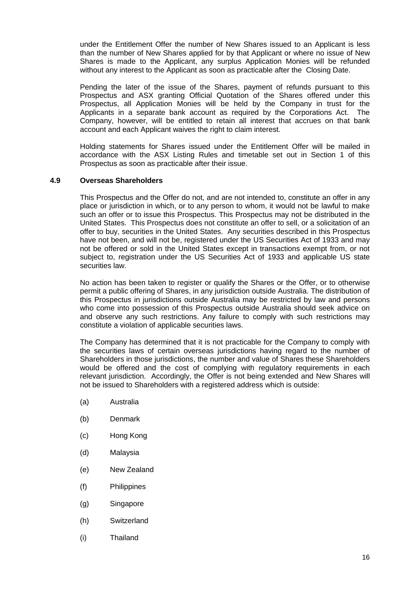under the Entitlement Offer the number of New Shares issued to an Applicant is less than the number of New Shares applied for by that Applicant or where no issue of New Shares is made to the Applicant, any surplus Application Monies will be refunded without any interest to the Applicant as soon as practicable after the Closing Date.

Pending the later of the issue of the Shares, payment of refunds pursuant to this Prospectus and ASX granting Official Quotation of the Shares offered under this Prospectus, all Application Monies will be held by the Company in trust for the Applicants in a separate bank account as required by the Corporations Act. The Company, however, will be entitled to retain all interest that accrues on that bank account and each Applicant waives the right to claim interest.

Holding statements for Shares issued under the Entitlement Offer will be mailed in accordance with the ASX Listing Rules and timetable set out in Section 1 of this Prospectus as soon as practicable after their issue.

## **4.9 Overseas Shareholders**

This Prospectus and the Offer do not, and are not intended to, constitute an offer in any place or jurisdiction in which, or to any person to whom, it would not be lawful to make such an offer or to issue this Prospectus. This Prospectus may not be distributed in the United States. This Prospectus does not constitute an offer to sell, or a solicitation of an offer to buy, securities in the United States. Any securities described in this Prospectus have not been, and will not be, registered under the US Securities Act of 1933 and may not be offered or sold in the United States except in transactions exempt from, or not subject to, registration under the US Securities Act of 1933 and applicable US state securities law.

No action has been taken to register or qualify the Shares or the Offer, or to otherwise permit a public offering of Shares, in any jurisdiction outside Australia. The distribution of this Prospectus in jurisdictions outside Australia may be restricted by law and persons who come into possession of this Prospectus outside Australia should seek advice on and observe any such restrictions. Any failure to comply with such restrictions may constitute a violation of applicable securities laws.

The Company has determined that it is not practicable for the Company to comply with the securities laws of certain overseas jurisdictions having regard to the number of Shareholders in those jurisdictions, the number and value of Shares these Shareholders would be offered and the cost of complying with regulatory requirements in each relevant jurisdiction. Accordingly, the Offer is not being extended and New Shares will not be issued to Shareholders with a registered address which is outside:

- (a) Australia
- (b) Denmark
- (c) Hong Kong
- (d) Malaysia
- (e) New Zealand
- (f) Philippines
- (g) Singapore
- (h) Switzerland
- (i) Thailand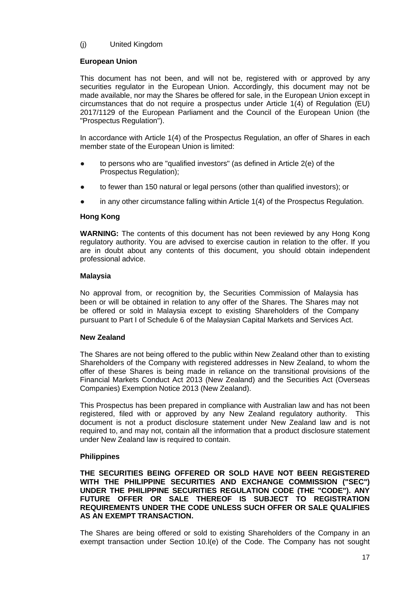# (j) United Kingdom

## **European Union**

This document has not been, and will not be, registered with or approved by any securities regulator in the European Union. Accordingly, this document may not be made available, nor may the Shares be offered for sale, in the European Union except in circumstances that do not require a prospectus under Article 1(4) of Regulation (EU) 2017/1129 of the European Parliament and the Council of the European Union (the "Prospectus Regulation").

In accordance with Article 1(4) of the Prospectus Regulation, an offer of Shares in each member state of the European Union is limited:

- to persons who are "qualified investors" (as defined in Article 2(e) of the Prospectus Regulation);
- to fewer than 150 natural or legal persons (other than qualified investors); or
- in any other circumstance falling within Article  $1(4)$  of the Prospectus Regulation.

## **Hong Kong**

**WARNING:** The contents of this document has not been reviewed by any Hong Kong regulatory authority. You are advised to exercise caution in relation to the offer. If you are in doubt about any contents of this document, you should obtain independent professional advice.

## **Malaysia**

No approval from, or recognition by, the Securities Commission of Malaysia has been or will be obtained in relation to any offer of the Shares. The Shares may not be offered or sold in Malaysia except to existing Shareholders of the Company pursuant to Part I of Schedule 6 of the Malaysian Capital Markets and Services Act.

## **New Zealand**

The Shares are not being offered to the public within New Zealand other than to existing Shareholders of the Company with registered addresses in New Zealand, to whom the offer of these Shares is being made in reliance on the transitional provisions of the Financial Markets Conduct Act 2013 (New Zealand) and the Securities Act (Overseas Companies) Exemption Notice 2013 (New Zealand).

This Prospectus has been prepared in compliance with Australian law and has not been registered, filed with or approved by any New Zealand regulatory authority. This document is not a product disclosure statement under New Zealand law and is not required to, and may not, contain all the information that a product disclosure statement under New Zealand law is required to contain.

## **Philippines**

**THE SECURITIES BEING OFFERED OR SOLD HAVE NOT BEEN REGISTERED WITH THE PHILIPPINE SECURITIES AND EXCHANGE COMMISSION ("SEC") UNDER THE PHILIPPINE SECURITIES REGULATION CODE (THE "CODE"). ANY FUTURE OFFER OR SALE THEREOF IS SUBJECT TO REGISTRATION REQUIREMENTS UNDER THE CODE UNLESS SUCH OFFER OR SALE QUALIFIES AS AN EXEMPT TRANSACTION.**

The Shares are being offered or sold to existing Shareholders of the Company in an exempt transaction under Section 10.l(e) of the Code. The Company has not sought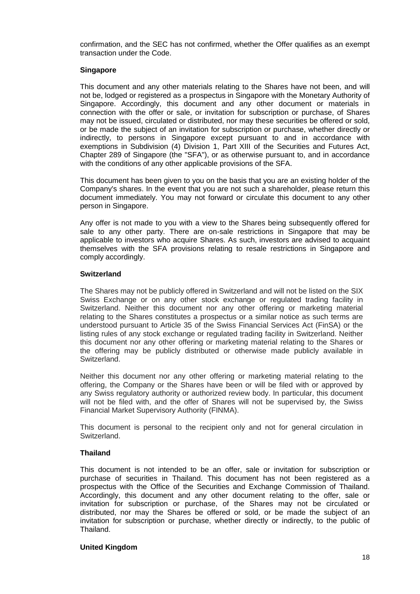confirmation, and the SEC has not confirmed, whether the Offer qualifies as an exempt transaction under the Code.

## **Singapore**

This document and any other materials relating to the Shares have not been, and will not be, lodged or registered as a prospectus in Singapore with the Monetary Authority of Singapore. Accordingly, this document and any other document or materials in connection with the offer or sale, or invitation for subscription or purchase, of Shares may not be issued, circulated or distributed, nor may these securities be offered or sold, or be made the subject of an invitation for subscription or purchase, whether directly or indirectly, to persons in Singapore except pursuant to and in accordance with exemptions in Subdivision (4) Division 1, Part XIII of the Securities and Futures Act, Chapter 289 of Singapore (the "SFA"), or as otherwise pursuant to, and in accordance with the conditions of any other applicable provisions of the SFA.

This document has been given to you on the basis that you are an existing holder of the Company's shares. In the event that you are not such a shareholder, please return this document immediately. You may not forward or circulate this document to any other person in Singapore.

Any offer is not made to you with a view to the Shares being subsequently offered for sale to any other party. There are on-sale restrictions in Singapore that may be applicable to investors who acquire Shares. As such, investors are advised to acquaint themselves with the SFA provisions relating to resale restrictions in Singapore and comply accordingly.

## **Switzerland**

The Shares may not be publicly offered in Switzerland and will not be listed on the SIX Swiss Exchange or on any other stock exchange or regulated trading facility in Switzerland. Neither this document nor any other offering or marketing material relating to the Shares constitutes a prospectus or a similar notice as such terms are understood pursuant to Article 35 of the Swiss Financial Services Act (FinSA) or the listing rules of any stock exchange or regulated trading facility in Switzerland. Neither this document nor any other offering or marketing material relating to the Shares or the offering may be publicly distributed or otherwise made publicly available in Switzerland.

Neither this document nor any other offering or marketing material relating to the offering, the Company or the Shares have been or will be filed with or approved by any Swiss regulatory authority or authorized review body. In particular, this document will not be filed with, and the offer of Shares will not be supervised by, the Swiss Financial Market Supervisory Authority (FINMA).

This document is personal to the recipient only and not for general circulation in Switzerland.

## **Thailand**

This document is not intended to be an offer, sale or invitation for subscription or purchase of securities in Thailand. This document has not been registered as a prospectus with the Office of the Securities and Exchange Commission of Thailand. Accordingly, this document and any other document relating to the offer, sale or invitation for subscription or purchase, of the Shares may not be circulated or distributed, nor may the Shares be offered or sold, or be made the subject of an invitation for subscription or purchase, whether directly or indirectly, to the public of Thailand.

## **United Kingdom**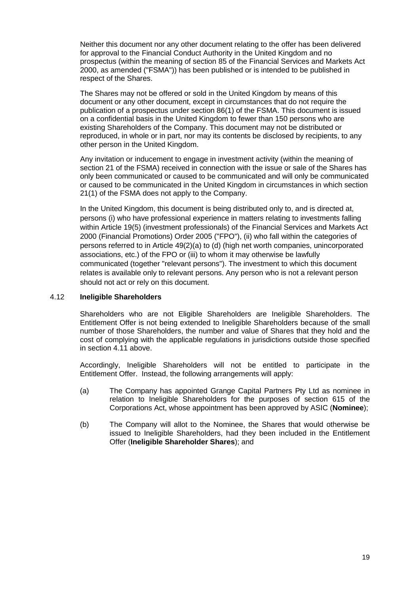Neither this document nor any other document relating to the offer has been delivered for approval to the Financial Conduct Authority in the United Kingdom and no prospectus (within the meaning of section 85 of the Financial Services and Markets Act 2000, as amended ("FSMA")) has been published or is intended to be published in respect of the Shares.

The Shares may not be offered or sold in the United Kingdom by means of this document or any other document, except in circumstances that do not require the publication of a prospectus under section 86(1) of the FSMA. This document is issued on a confidential basis in the United Kingdom to fewer than 150 persons who are existing Shareholders of the Company. This document may not be distributed or reproduced, in whole or in part, nor may its contents be disclosed by recipients, to any other person in the United Kingdom.

Any invitation or inducement to engage in investment activity (within the meaning of section 21 of the FSMA) received in connection with the issue or sale of the Shares has only been communicated or caused to be communicated and will only be communicated or caused to be communicated in the United Kingdom in circumstances in which section 21(1) of the FSMA does not apply to the Company.

In the United Kingdom, this document is being distributed only to, and is directed at, persons (i) who have professional experience in matters relating to investments falling within Article 19(5) (investment professionals) of the Financial Services and Markets Act 2000 (Financial Promotions) Order 2005 ("FPO"), (ii) who fall within the categories of persons referred to in Article 49(2)(a) to (d) (high net worth companies, unincorporated associations, etc.) of the FPO or (iii) to whom it may otherwise be lawfully communicated (together "relevant persons"). The investment to which this document relates is available only to relevant persons. Any person who is not a relevant person should not act or rely on this document.

## 4.12 **Ineligible Shareholders**

Shareholders who are not Eligible Shareholders are Ineligible Shareholders. The Entitlement Offer is not being extended to Ineligible Shareholders because of the small number of those Shareholders, the number and value of Shares that they hold and the cost of complying with the applicable regulations in jurisdictions outside those specified in section 4.11 above.

Accordingly, Ineligible Shareholders will not be entitled to participate in the Entitlement Offer. Instead, the following arrangements will apply:

- (a) The Company has appointed Grange Capital Partners Pty Ltd as nominee in relation to Ineligible Shareholders for the purposes of section 615 of the Corporations Act, whose appointment has been approved by ASIC (**Nominee**);
- (b) The Company will allot to the Nominee, the Shares that would otherwise be issued to Ineligible Shareholders, had they been included in the Entitlement Offer (**Ineligible Shareholder Shares**); and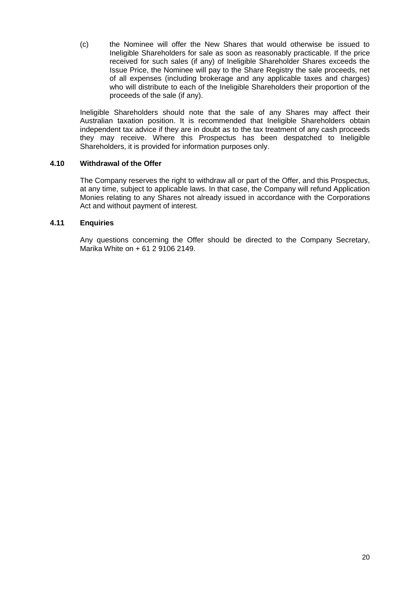(c) the Nominee will offer the New Shares that would otherwise be issued to Ineligible Shareholders for sale as soon as reasonably practicable. If the price received for such sales (if any) of Ineligible Shareholder Shares exceeds the Issue Price, the Nominee will pay to the Share Registry the sale proceeds, net of all expenses (including brokerage and any applicable taxes and charges) who will distribute to each of the Ineligible Shareholders their proportion of the proceeds of the sale (if any).

Ineligible Shareholders should note that the sale of any Shares may affect their Australian taxation position. It is recommended that Ineligible Shareholders obtain independent tax advice if they are in doubt as to the tax treatment of any cash proceeds they may receive. Where this Prospectus has been despatched to Ineligible Shareholders, it is provided for information purposes only.

## **4.10 Withdrawal of the Offer**

The Company reserves the right to withdraw all or part of the Offer, and this Prospectus, at any time, subject to applicable laws. In that case, the Company will refund Application Monies relating to any Shares not already issued in accordance with the Corporations Act and without payment of interest.

## **4.11 Enquiries**

Any questions concerning the Offer should be directed to the Company Secretary, Marika White on + 61 2 9106 2149.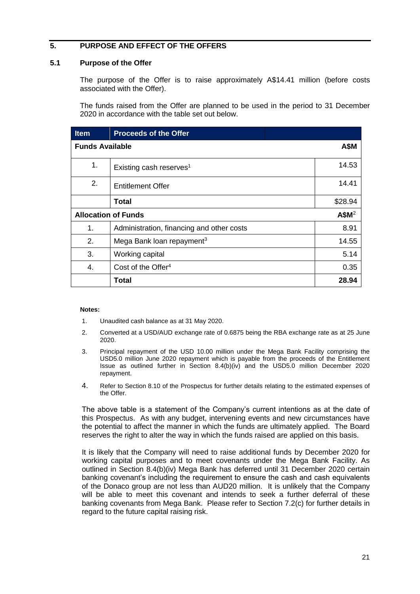# <span id="page-22-0"></span>**5. PURPOSE AND EFFECT OF THE OFFERS**

## <span id="page-22-1"></span>**5.1 Purpose of the Offer**

The purpose of the Offer is to raise approximately A\$14.41 million (before costs associated with the Offer).

The funds raised from the Offer are planned to be used in the period to 31 December 2020 in accordance with the table set out below.

| <b>Item</b>                | <b>Proceeds of the Offer</b>              |                   |
|----------------------------|-------------------------------------------|-------------------|
| <b>Funds Available</b>     |                                           | <b>A\$M</b>       |
| 1.                         | Existing cash reserves <sup>1</sup>       | 14.53             |
| 2.                         | <b>Entitlement Offer</b>                  | 14.41             |
|                            | <b>Total</b>                              | \$28.94           |
| <b>Allocation of Funds</b> |                                           | A\$M <sup>2</sup> |
| 1.                         | Administration, financing and other costs | 8.91              |
| 2.                         | Mega Bank loan repayment <sup>3</sup>     | 14.55             |
| 3.                         | Working capital                           | 5.14              |
| 4.                         | Cost of the Offer <sup>4</sup>            | 0.35              |
|                            | Total                                     | 28.94             |

#### **Notes:**

- 1. Unaudited cash balance as at 31 May 2020.
- 2. Converted at a USD/AUD exchange rate of 0.6875 being the RBA exchange rate as at 25 June 2020.
- 3. Principal repayment of the USD 10.00 million under the Mega Bank Facility comprising the USD5.0 million June 2020 repayment which is payable from the proceeds of the Entitlement Issue as outlined further in Section 8.4(b)(iv) and the USD5.0 million December 2020 repayment.
- 4. Refer to Section [8.10](#page-54-0) of the Prospectus for further details relating to the estimated expenses of the Offer.

The above table is a statement of the Company's current intentions as at the date of this Prospectus. As with any budget, intervening events and new circumstances have the potential to affect the manner in which the funds are ultimately applied. The Board reserves the right to alter the way in which the funds raised are applied on this basis.

It is likely that the Company will need to raise additional funds by December 2020 for working capital purposes and to meet covenants under the Mega Bank Facility. As outlined in Section 8.4(b)(iv) Mega Bank has deferred until 31 December 2020 certain banking covenant's including the requirement to ensure the cash and cash equivalents of the Donaco group are not less than AUD20 million. It is unlikely that the Company will be able to meet this covenant and intends to seek a further deferral of these banking covenants from Mega Bank. Please refer to Section 7.2(c) for further details in regard to the future capital raising risk.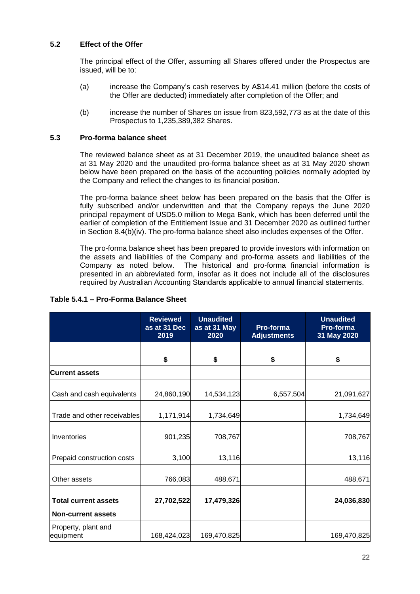## **5.2 Effect of the Offer**

The principal effect of the Offer, assuming all Shares offered under the Prospectus are issued, will be to:

- (a) increase the Company's cash reserves by A\$14.41 million (before the costs of the Offer are deducted) immediately after completion of the Offer; and
- (b) increase the number of Shares on issue from 823,592,773 as at the date of this Prospectus to 1,235,389,382 Shares.

## <span id="page-23-0"></span>**5.3 Pro-forma balance sheet**

The reviewed balance sheet as at 31 December 2019, the unaudited balance sheet as at 31 May 2020 and the unaudited pro-forma balance sheet as at 31 May 2020 shown below have been prepared on the basis of the accounting policies normally adopted by the Company and reflect the changes to its financial position.

The pro-forma balance sheet below has been prepared on the basis that the Offer is fully subscribed and/or underwritten and that the Company repays the June 2020 principal repayment of USD5.0 million to Mega Bank, which has been deferred until the earlier of completion of the Entitlement Issue and 31 December 2020 as outlined further in Section 8.4(b)(iv). The pro-forma balance sheet also includes expenses of the Offer.

The pro-forma balance sheet has been prepared to provide investors with information on the assets and liabilities of the Company and pro-forma assets and liabilities of the Company as noted below. The historical and pro-forma financial information is presented in an abbreviated form, insofar as it does not include all of the disclosures required by Australian Accounting Standards applicable to annual financial statements.

|                                  | <b>Reviewed</b><br>as at 31 Dec<br>2019 | <b>Unaudited</b><br>as at 31 May<br>2020 | Pro-forma<br><b>Adjustments</b> | <b>Unaudited</b><br>Pro-forma<br>31 May 2020 |
|----------------------------------|-----------------------------------------|------------------------------------------|---------------------------------|----------------------------------------------|
|                                  | \$                                      | \$                                       | \$                              | \$                                           |
| <b>Current assets</b>            |                                         |                                          |                                 |                                              |
| Cash and cash equivalents        | 24,860,190                              | 14,534,123                               | 6,557,504                       | 21,091,627                                   |
| Trade and other receivables      | 1,171,914                               | 1,734,649                                |                                 | 1,734,649                                    |
| Inventories                      | 901,235                                 | 708,767                                  |                                 | 708,767                                      |
| Prepaid construction costs       | 3,100                                   | 13,116                                   |                                 | 13,116                                       |
| Other assets                     | 766,083                                 | 488,671                                  |                                 | 488,671                                      |
| <b>Total current assets</b>      | 27,702,522                              | 17,479,326                               |                                 | 24,036,830                                   |
| <b>Non-current assets</b>        |                                         |                                          |                                 |                                              |
| Property, plant and<br>equipment | 168,424,023                             | 169,470,825                              |                                 | 169,470,825                                  |

# **Table 5.4.1 – Pro-Forma Balance Sheet**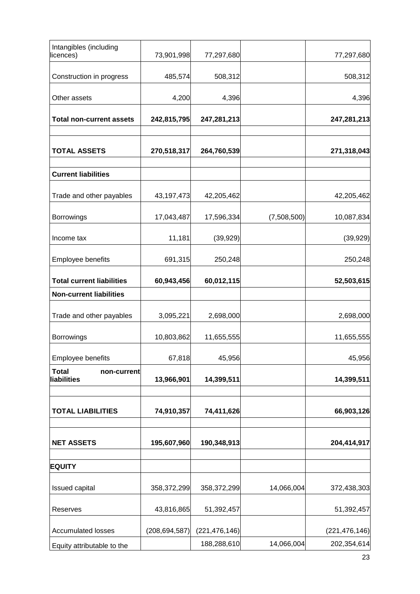| Intangibles (including<br>licences)        | 73,901,998      | 77,297,680      |             | 77,297,680      |
|--------------------------------------------|-----------------|-----------------|-------------|-----------------|
| Construction in progress                   | 485,574         | 508,312         |             | 508,312         |
| Other assets                               | 4,200           | 4,396           |             | 4,396           |
| <b>Total non-current assets</b>            | 242,815,795     | 247,281,213     |             | 247,281,213     |
| <b>TOTAL ASSETS</b>                        | 270,518,317     | 264,760,539     |             | 271,318,043     |
| <b>Current liabilities</b>                 |                 |                 |             |                 |
| Trade and other payables                   | 43,197,473      | 42,205,462      |             | 42,205,462      |
| <b>Borrowings</b>                          | 17,043,487      | 17,596,334      | (7,508,500) | 10,087,834      |
| Income tax                                 | 11,181          | (39, 929)       |             | (39, 929)       |
| Employee benefits                          | 691,315         | 250,248         |             | 250,248         |
| <b>Total current liabilities</b>           | 60,943,456      | 60,012,115      |             | 52,503,615      |
| <b>Non-current liabilities</b>             |                 |                 |             |                 |
| Trade and other payables                   | 3,095,221       | 2,698,000       |             | 2,698,000       |
| <b>Borrowings</b>                          | 10,803,862      | 11,655,555      |             | 11,655,555      |
| Employee benefits                          | 67,818          | 45,956          |             | 45,956          |
| <b>Total</b><br>non-current<br>liabilities | 13,966,901      | 14,399,511      |             | 14,399,511      |
| <b>TOTAL LIABILITIES</b>                   | 74,910,357      | 74,411,626      |             | 66,903,126      |
| <b>NET ASSETS</b>                          | 195,607,960     | 190,348,913     |             | 204,414,917     |
| <b>EQUITY</b>                              |                 |                 |             |                 |
| Issued capital                             | 358,372,299     | 358,372,299     | 14,066,004  | 372,438,303     |
| Reserves                                   | 43,816,865      | 51,392,457      |             | 51,392,457      |
| <b>Accumulated losses</b>                  | (208, 694, 587) | (221, 476, 146) |             | (221, 476, 146) |
| Equity attributable to the                 |                 | 188,288,610     | 14,066,004  | 202,354,614     |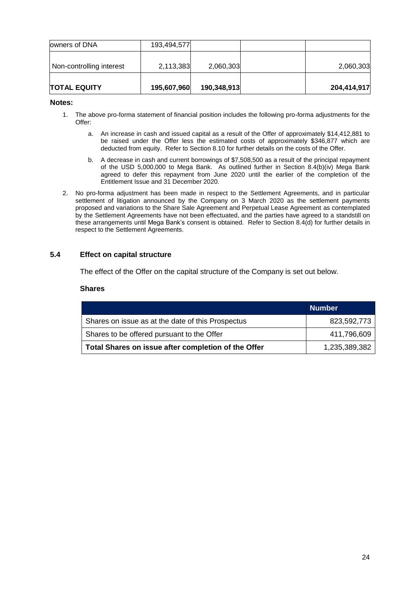| Non-controlling interest | 2,113,383   | 2,060,303   | 2,060,303   |
|--------------------------|-------------|-------------|-------------|
| <b>TOTAL EQUITY</b>      | 195,607,960 | 190,348,913 | 204,414,917 |

#### **Notes:**

- 1. The above pro-forma statement of financial position includes the following pro-forma adjustments for the Offer:
	- a. An increase in cash and issued capital as a result of the Offer of approximately \$14,412,881 to be raised under the Offer less the estimated costs of approximately \$346,877 which are deducted from equity. Refer to Section 8.10 for further details on the costs of the Offer.
	- b. A decrease in cash and current borrowings of \$7,508,500 as a result of the principal repayment of the USD 5,000,000 to Mega Bank. As outlined further in Section 8.4(b)(iv) Mega Bank agreed to defer this repayment from June 2020 until the earlier of the completion of the Entitlement Issue and 31 December 2020.
- 2. No pro-forma adjustment has been made in respect to the Settlement Agreements, and in particular settlement of litigation announced by the Company on 3 March 2020 as the settlement payments proposed and variations to the Share Sale Agreement and Perpetual Lease Agreement as contemplated by the Settlement Agreements have not been effectuated, and the parties have agreed to a standstill on these arrangements until Mega Bank's consent is obtained. Refer to Section 8.4(d) for further details in respect to the Settlement Agreements.

## **5.4 Effect on capital structure**

The effect of the Offer on the capital structure of the Company is set out below.

#### **Shares**

|                                                     | <b>Number</b> |
|-----------------------------------------------------|---------------|
| Shares on issue as at the date of this Prospectus   | 823,592,773   |
| Shares to be offered pursuant to the Offer          | 411,796,609   |
| Total Shares on issue after completion of the Offer | 1,235,389,382 |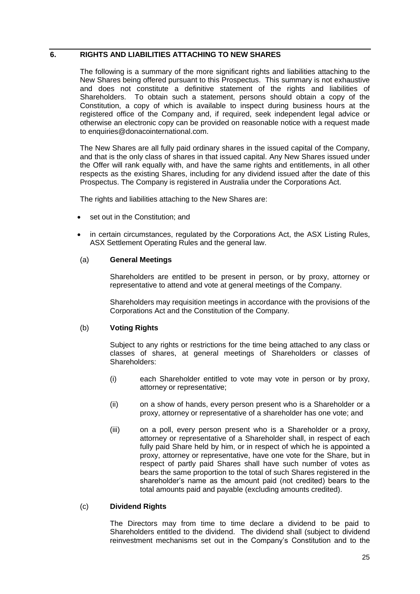# <span id="page-26-0"></span>**6. RIGHTS AND LIABILITIES ATTACHING TO NEW SHARES**

The following is a summary of the more significant rights and liabilities attaching to the New Shares being offered pursuant to this Prospectus. This summary is not exhaustive and does not constitute a definitive statement of the rights and liabilities of Shareholders. To obtain such a statement, persons should obtain a copy of the Constitution, a copy of which is available to inspect during business hours at the registered office of the Company and, if required, seek independent legal advice or otherwise an electronic copy can be provided on reasonable notice with a request made to enquiries@donacointernational.com.

The New Shares are all fully paid ordinary shares in the issued capital of the Company, and that is the only class of shares in that issued capital. Any New Shares issued under the Offer will rank equally with, and have the same rights and entitlements, in all other respects as the existing Shares, including for any dividend issued after the date of this Prospectus. The Company is registered in Australia under the Corporations Act.

The rights and liabilities attaching to the New Shares are:

- set out in the Constitution; and
- in certain circumstances, regulated by the Corporations Act, the ASX Listing Rules, ASX Settlement Operating Rules and the general law.

## (a) **General Meetings**

Shareholders are entitled to be present in person, or by proxy, attorney or representative to attend and vote at general meetings of the Company.

Shareholders may requisition meetings in accordance with the provisions of the Corporations Act and the Constitution of the Company.

## (b) **Voting Rights**

Subject to any rights or restrictions for the time being attached to any class or classes of shares, at general meetings of Shareholders or classes of Shareholders:

- (i) each Shareholder entitled to vote may vote in person or by proxy, attorney or representative;
- (ii) on a show of hands, every person present who is a Shareholder or a proxy, attorney or representative of a shareholder has one vote; and
- (iii) on a poll, every person present who is a Shareholder or a proxy, attorney or representative of a Shareholder shall, in respect of each fully paid Share held by him, or in respect of which he is appointed a proxy, attorney or representative, have one vote for the Share, but in respect of partly paid Shares shall have such number of votes as bears the same proportion to the total of such Shares registered in the shareholder's name as the amount paid (not credited) bears to the total amounts paid and payable (excluding amounts credited).

# (c) **Dividend Rights**

The Directors may from time to time declare a dividend to be paid to Shareholders entitled to the dividend. The dividend shall (subject to dividend reinvestment mechanisms set out in the Company's Constitution and to the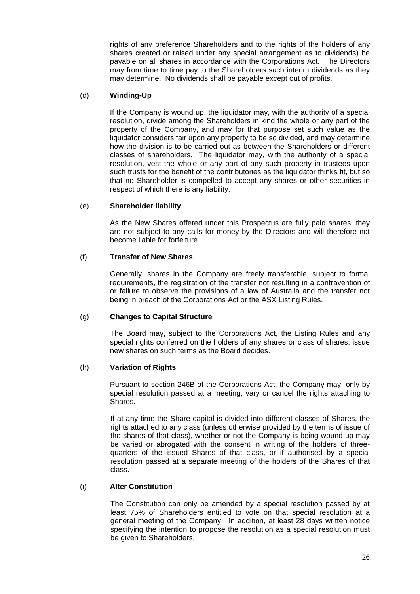rights of any preference Shareholders and to the rights of the holders of any shares created or raised under any special arrangement as to dividends) be payable on all shares in accordance with the Corporations Act. The Directors may from time to time pay to the Shareholders such interim dividends as they may determine. No dividends shall be payable except out of profits.

## (d) **Winding-Up**

If the Company is wound up, the liquidator may, with the authority of a special resolution, divide among the Shareholders in kind the whole or any part of the property of the Company, and may for that purpose set such value as the liquidator considers fair upon any property to be so divided, and may determine how the division is to be carried out as between the Shareholders or different classes of shareholders. The liquidator may, with the authority of a special resolution, vest the whole or any part of any such property in trustees upon such trusts for the benefit of the contributories as the liquidator thinks fit, but so that no Shareholder is compelled to accept any shares or other securities in respect of which there is any liability.

## (e) **Shareholder liability**

As the New Shares offered under this Prospectus are fully paid shares, they are not subject to any calls for money by the Directors and will therefore not become liable for forfeiture.

## (f) **Transfer of New Shares**

Generally, shares in the Company are freely transferable, subject to formal requirements, the registration of the transfer not resulting in a contravention of or failure to observe the provisions of a law of Australia and the transfer not being in breach of the Corporations Act or the ASX Listing Rules.

## (g) **Changes to Capital Structure**

The Board may, subject to the Corporations Act, the Listing Rules and any special rights conferred on the holders of any shares or class of shares, issue new shares on such terms as the Board decides.

## (h) **Variation of Rights**

Pursuant to section 246B of the Corporations Act, the Company may, only by special resolution passed at a meeting, vary or cancel the rights attaching to Shares.

If at any time the Share capital is divided into different classes of Shares, the rights attached to any class (unless otherwise provided by the terms of issue of the shares of that class), whether or not the Company is being wound up may be varied or abrogated with the consent in writing of the holders of threequarters of the issued Shares of that class, or if authorised by a special resolution passed at a separate meeting of the holders of the Shares of that class.

## (i) **Alter Constitution**

The Constitution can only be amended by a special resolution passed by at least 75% of Shareholders entitled to vote on that special resolution at a general meeting of the Company. In addition, at least 28 days written notice specifying the intention to propose the resolution as a special resolution must be given to Shareholders.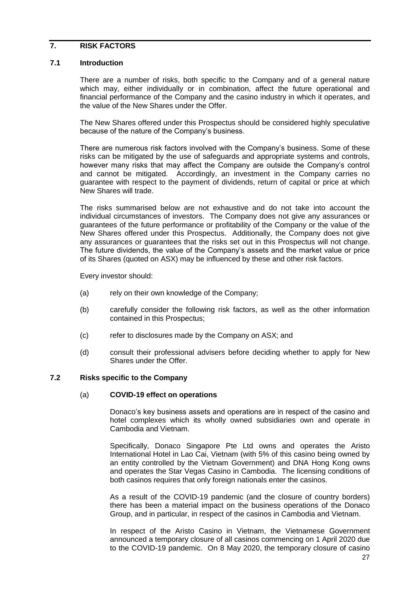## <span id="page-28-0"></span>**7. RISK FACTORS**

## **7.1 Introduction**

There are a number of risks, both specific to the Company and of a general nature which may, either individually or in combination, affect the future operational and financial performance of the Company and the casino industry in which it operates, and the value of the New Shares under the Offer.

The New Shares offered under this Prospectus should be considered highly speculative because of the nature of the Company's business.

There are numerous risk factors involved with the Company's business. Some of these risks can be mitigated by the use of safeguards and appropriate systems and controls, however many risks that may affect the Company are outside the Company's control and cannot be mitigated. Accordingly, an investment in the Company carries no guarantee with respect to the payment of dividends, return of capital or price at which New Shares will trade.

The risks summarised below are not exhaustive and do not take into account the individual circumstances of investors. The Company does not give any assurances or guarantees of the future performance or profitability of the Company or the value of the New Shares offered under this Prospectus. Additionally, the Company does not give any assurances or guarantees that the risks set out in this Prospectus will not change. The future dividends, the value of the Company's assets and the market value or price of its Shares (quoted on ASX) may be influenced by these and other risk factors.

Every investor should:

- (a) rely on their own knowledge of the Company;
- (b) carefully consider the following risk factors, as well as the other information contained in this Prospectus;
- (c) refer to disclosures made by the Company on ASX; and
- (d) consult their professional advisers before deciding whether to apply for New Shares under the Offer.

## **7.2 Risks specific to the Company**

#### (a) **COVID-19 effect on operations**

Donaco's key business assets and operations are in respect of the casino and hotel complexes which its wholly owned subsidiaries own and operate in Cambodia and Vietnam.

Specifically, Donaco Singapore Pte Ltd owns and operates the Aristo International Hotel in Lao Cai, Vietnam (with 5% of this casino being owned by an entity controlled by the Vietnam Government) and DNA Hong Kong owns and operates the Star Vegas Casino in Cambodia. The licensing conditions of both casinos requires that only foreign nationals enter the casinos.

As a result of the COVID-19 pandemic (and the closure of country borders) there has been a material impact on the business operations of the Donaco Group, and in particular, in respect of the casinos in Cambodia and Vietnam.

In respect of the Aristo Casino in Vietnam, the Vietnamese Government announced a temporary closure of all casinos commencing on 1 April 2020 due to the COVID-19 pandemic. On 8 May 2020, the temporary closure of casino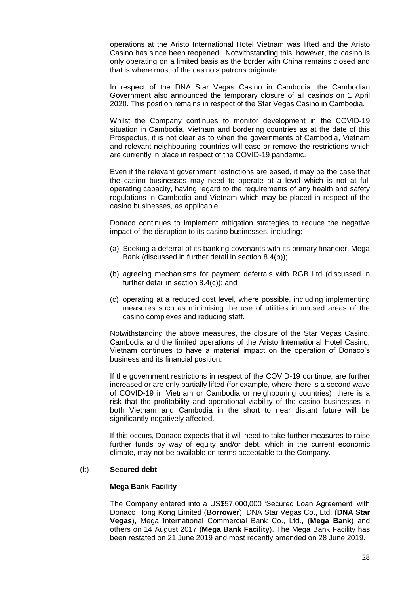operations at the Aristo International Hotel Vietnam was lifted and the Aristo Casino has since been reopened. Notwithstanding this, however, the casino is only operating on a limited basis as the border with China remains closed and that is where most of the casino's patrons originate.

In respect of the DNA Star Vegas Casino in Cambodia, the Cambodian Government also announced the temporary closure of all casinos on 1 April 2020. This position remains in respect of the Star Vegas Casino in Cambodia.

Whilst the Company continues to monitor development in the COVID-19 situation in Cambodia, Vietnam and bordering countries as at the date of this Prospectus, it is not clear as to when the governments of Cambodia, Vietnam and relevant neighbouring countries will ease or remove the restrictions which are currently in place in respect of the COVID-19 pandemic.

Even if the relevant government restrictions are eased, it may be the case that the casino businesses may need to operate at a level which is not at full operating capacity, having regard to the requirements of any health and safety regulations in Cambodia and Vietnam which may be placed in respect of the casino businesses, as applicable.

Donaco continues to implement mitigation strategies to reduce the negative impact of the disruption to its casino businesses, including:

- (a) Seeking a deferral of its banking covenants with its primary financier, Mega Bank (discussed in further detail in section 8.4(b));
- (b) agreeing mechanisms for payment deferrals with RGB Ltd (discussed in further detail in section 8.4(c)); and
- (c) operating at a reduced cost level, where possible, including implementing measures such as minimising the use of utilities in unused areas of the casino complexes and reducing staff.

Notwithstanding the above measures, the closure of the Star Vegas Casino, Cambodia and the limited operations of the Aristo International Hotel Casino, Vietnam continues to have a material impact on the operation of Donaco's business and its financial position.

If the government restrictions in respect of the COVID-19 continue, are further increased or are only partially lifted (for example, where there is a second wave of COVID-19 in Vietnam or Cambodia or neighbouring countries), there is a risk that the profitability and operational viability of the casino businesses in both Vietnam and Cambodia in the short to near distant future will be significantly negatively affected.

If this occurs, Donaco expects that it will need to take further measures to raise further funds by way of equity and/or debt, which in the current economic climate, may not be available on terms acceptable to the Company.

## (b) **Secured debt**

#### **Mega Bank Facility**

The Company entered into a US\$57,000,000 'Secured Loan Agreement' with Donaco Hong Kong Limited (**Borrower**), DNA Star Vegas Co., Ltd. (**DNA Star Vegas**), Mega International Commercial Bank Co., Ltd., (**Mega Bank**) and others on 14 August 2017 (**Mega Bank Facility**). The Mega Bank Facility has been restated on 21 June 2019 and most recently amended on 28 June 2019.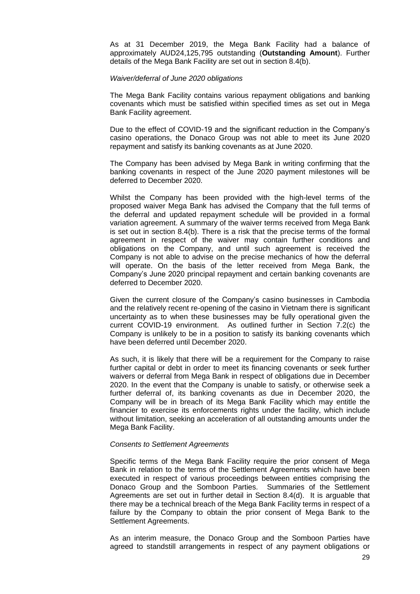As at 31 December 2019, the Mega Bank Facility had a balance of approximately AUD24,125,795 outstanding (**Outstanding Amount**). Further details of the Mega Bank Facility are set out in section 8.4(b).

#### *Waiver/deferral of June 2020 obligations*

The Mega Bank Facility contains various repayment obligations and banking covenants which must be satisfied within specified times as set out in Mega Bank Facility agreement.

Due to the effect of COVID-19 and the significant reduction in the Company's casino operations, the Donaco Group was not able to meet its June 2020 repayment and satisfy its banking covenants as at June 2020.

The Company has been advised by Mega Bank in writing confirming that the banking covenants in respect of the June 2020 payment milestones will be deferred to December 2020.

Whilst the Company has been provided with the high-level terms of the proposed waiver Mega Bank has advised the Company that the full terms of the deferral and updated repayment schedule will be provided in a formal variation agreement. A summary of the waiver terms received from Mega Bank is set out in section 8.4(b). There is a risk that the precise terms of the formal agreement in respect of the waiver may contain further conditions and obligations on the Company, and until such agreement is received the Company is not able to advise on the precise mechanics of how the deferral will operate. On the basis of the letter received from Mega Bank, the Company's June 2020 principal repayment and certain banking covenants are deferred to December 2020.

Given the current closure of the Company's casino businesses in Cambodia and the relatively recent re-opening of the casino in Vietnam there is significant uncertainty as to when these businesses may be fully operational given the current COVID-19 environment. As outlined further in Section 7.2(c) the Company is unlikely to be in a position to satisfy its banking covenants which have been deferred until December 2020.

As such, it is likely that there will be a requirement for the Company to raise further capital or debt in order to meet its financing covenants or seek further waivers or deferral from Mega Bank in respect of obligations due in December 2020. In the event that the Company is unable to satisfy, or otherwise seek a further deferral of, its banking covenants as due in December 2020, the Company will be in breach of its Mega Bank Facility which may entitle the financier to exercise its enforcements rights under the facility, which include without limitation, seeking an acceleration of all outstanding amounts under the Mega Bank Facility.

## *Consents to Settlement Agreements*

Specific terms of the Mega Bank Facility require the prior consent of Mega Bank in relation to the terms of the Settlement Agreements which have been executed in respect of various proceedings between entities comprising the Donaco Group and the Somboon Parties. Summaries of the Settlement Agreements are set out in further detail in Section 8.4(d). It is arguable that there may be a technical breach of the Mega Bank Facility terms in respect of a failure by the Company to obtain the prior consent of Mega Bank to the Settlement Agreements.

As an interim measure, the Donaco Group and the Somboon Parties have agreed to standstill arrangements in respect of any payment obligations or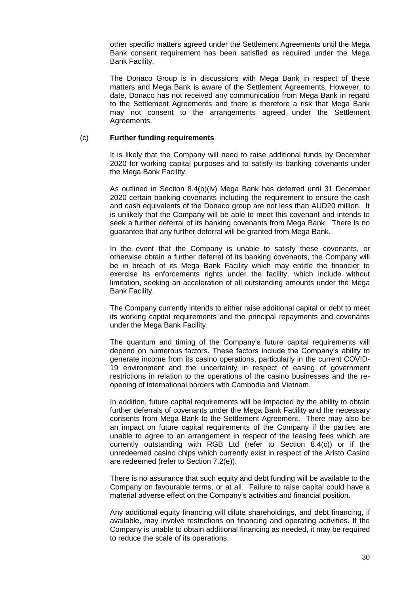other specific matters agreed under the Settlement Agreements until the Mega Bank consent requirement has been satisfied as required under the Mega Bank Facility.

The Donaco Group is in discussions with Mega Bank in respect of these matters and Mega Bank is aware of the Settlement Agreements. However, to date, Donaco has not received any communication from Mega Bank in regard to the Settlement Agreements and there is therefore a risk that Mega Bank may not consent to the arrangements agreed under the Settlement Agreements.

#### (c) **Further funding requirements**

It is likely that the Company will need to raise additional funds by December 2020 for working capital purposes and to satisfy its banking covenants under the Mega Bank Facility.

As outlined in Section 8.4(b)(iv) Mega Bank has deferred until 31 December 2020 certain banking covenants including the requirement to ensure the cash and cash equivalents of the Donaco group are not less than AUD20 million. It is unlikely that the Company will be able to meet this covenant and intends to seek a further deferral of its banking covenants from Mega Bank. There is no guarantee that any further deferral will be granted from Mega Bank.

In the event that the Company is unable to satisfy these covenants, or otherwise obtain a further deferral of its banking covenants, the Company will be in breach of its Mega Bank Facility which may entitle the financier to exercise its enforcements rights under the facility, which include without limitation, seeking an acceleration of all outstanding amounts under the Mega Bank Facility.

The Company currently intends to either raise additional capital or debt to meet its working capital requirements and the principal repayments and covenants under the Mega Bank Facility.

The quantum and timing of the Company's future capital requirements will depend on numerous factors. These factors include the Company's ability to generate income from its casino operations, particularly in the current COVID-19 environment and the uncertainty in respect of easing of government restrictions in relation to the operations of the casino businesses and the reopening of international borders with Cambodia and Vietnam.

In addition, future capital requirements will be impacted by the ability to obtain further deferrals of covenants under the Mega Bank Facility and the necessary consents from Mega Bank to the Settlement Agreement. There may also be an impact on future capital requirements of the Company if the parties are unable to agree to an arrangement in respect of the leasing fees which are currently outstanding with RGB Ltd (refer to Section 8.4(c)) or if the unredeemed casino chips which currently exist in respect of the Aristo Casino are redeemed (refer to Section 7.2(e)).

There is no assurance that such equity and debt funding will be available to the Company on favourable terms, or at all. Failure to raise capital could have a material adverse effect on the Company's activities and financial position.

Any additional equity financing will dilute shareholdings, and debt financing, if available, may involve restrictions on financing and operating activities. If the Company is unable to obtain additional financing as needed, it may be required to reduce the scale of its operations.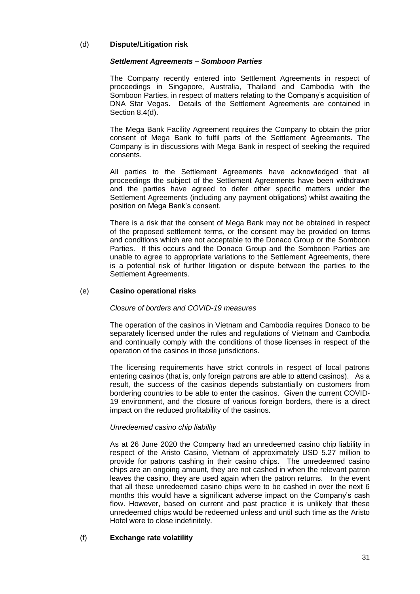## (d) **Dispute/Litigation risk**

## *Settlement Agreements – Somboon Parties*

The Company recently entered into Settlement Agreements in respect of proceedings in Singapore, Australia, Thailand and Cambodia with the Somboon Parties, in respect of matters relating to the Company's acquisition of DNA Star Vegas. Details of the Settlement Agreements are contained in Section 8.4(d).

The Mega Bank Facility Agreement requires the Company to obtain the prior consent of Mega Bank to fulfil parts of the Settlement Agreements. The Company is in discussions with Mega Bank in respect of seeking the required consents.

All parties to the Settlement Agreements have acknowledged that all proceedings the subject of the Settlement Agreements have been withdrawn and the parties have agreed to defer other specific matters under the Settlement Agreements (including any payment obligations) whilst awaiting the position on Mega Bank's consent.

There is a risk that the consent of Mega Bank may not be obtained in respect of the proposed settlement terms, or the consent may be provided on terms and conditions which are not acceptable to the Donaco Group or the Somboon Parties. If this occurs and the Donaco Group and the Somboon Parties are unable to agree to appropriate variations to the Settlement Agreements, there is a potential risk of further litigation or dispute between the parties to the Settlement Agreements.

## (e) **Casino operational risks**

## *Closure of borders and COVID-19 measures*

The operation of the casinos in Vietnam and Cambodia requires Donaco to be separately licensed under the rules and regulations of Vietnam and Cambodia and continually comply with the conditions of those licenses in respect of the operation of the casinos in those jurisdictions.

The licensing requirements have strict controls in respect of local patrons entering casinos (that is, only foreign patrons are able to attend casinos). As a result, the success of the casinos depends substantially on customers from bordering countries to be able to enter the casinos. Given the current COVID-19 environment, and the closure of various foreign borders, there is a direct impact on the reduced profitability of the casinos.

## *Unredeemed casino chip liability*

As at 26 June 2020 the Company had an unredeemed casino chip liability in respect of the Aristo Casino, Vietnam of approximately USD 5.27 million to provide for patrons cashing in their casino chips. The unredeemed casino chips are an ongoing amount, they are not cashed in when the relevant patron leaves the casino, they are used again when the patron returns. In the event that all these unredeemed casino chips were to be cashed in over the next 6 months this would have a significant adverse impact on the Company's cash flow. However, based on current and past practice it is unlikely that these unredeemed chips would be redeemed unless and until such time as the Aristo Hotel were to close indefinitely.

# (f) **Exchange rate volatility**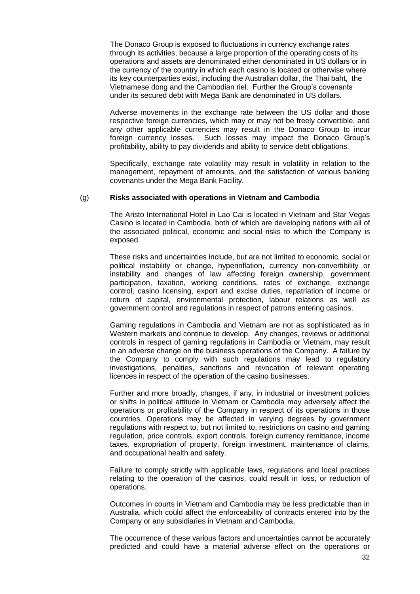The Donaco Group is exposed to fluctuations in currency exchange rates through its activities, because a large proportion of the operating costs of its operations and assets are denominated either denominated in US dollars or in the currency of the country in which each casino is located or otherwise where its key counterparties exist, including the Australian dollar, the Thai baht, the Vietnamese dong and the Cambodian riel. Further the Group's covenants under its secured debt with Mega Bank are denominated in US dollars.

Adverse movements in the exchange rate between the US dollar and those respective foreign currencies, which may or may not be freely convertible, and any other applicable currencies may result in the Donaco Group to incur foreign currency losses. Such losses may impact the Donaco Group's profitability, ability to pay dividends and ability to service debt obligations.

Specifically, exchange rate volatility may result in volatility in relation to the management, repayment of amounts, and the satisfaction of various banking covenants under the Mega Bank Facility.

## <span id="page-33-0"></span>(g) **Risks associated with operations in Vietnam and Cambodia**

The Aristo International Hotel in Lao Cai is located in Vietnam and Star Vegas Casino is located in Cambodia, both of which are developing nations with all of the associated political, economic and social risks to which the Company is exposed.

These risks and uncertainties include, but are not limited to economic, social or political instability or change, hyperinflation, currency non-convertibility or instability and changes of law affecting foreign ownership, government participation, taxation, working conditions, rates of exchange, exchange control, casino licensing, export and excise duties, repatriation of income or return of capital, environmental protection, labour relations as well as government control and regulations in respect of patrons entering casinos.

Gaming regulations in Cambodia and Vietnam are not as sophisticated as in Western markets and continue to develop. Any changes, reviews or additional controls in respect of gaming regulations in Cambodia or Vietnam, may result in an adverse change on the business operations of the Company. A failure by the Company to comply with such regulations may lead to regulatory investigations, penalties, sanctions and revocation of relevant operating licences in respect of the operation of the casino businesses.

Further and more broadly, changes, if any, in industrial or investment policies or shifts in political attitude in Vietnam or Cambodia may adversely affect the operations or profitability of the Company in respect of its operations in those countries. Operations may be affected in varying degrees by government regulations with respect to, but not limited to, restrictions on casino and gaming regulation, price controls, export controls, foreign currency remittance, income taxes, expropriation of property, foreign investment, maintenance of claims, and occupational health and safety.

Failure to comply strictly with applicable laws, regulations and local practices relating to the operation of the casinos, could result in loss, or reduction of operations.

Outcomes in courts in Vietnam and Cambodia may be less predictable than in Australia, which could affect the enforceability of contracts entered into by the Company or any subsidiaries in Vietnam and Cambodia.

The occurrence of these various factors and uncertainties cannot be accurately predicted and could have a material adverse effect on the operations or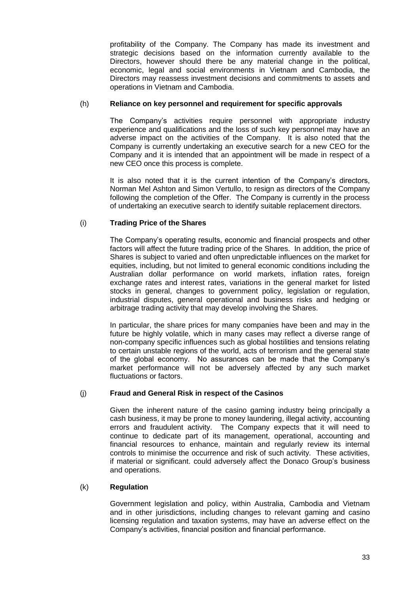profitability of the Company. The Company has made its investment and strategic decisions based on the information currently available to the Directors, however should there be any material change in the political, economic, legal and social environments in Vietnam and Cambodia, the Directors may reassess investment decisions and commitments to assets and operations in Vietnam and Cambodia.

## (h) **Reliance on key personnel and requirement for specific approvals**

The Company's activities require personnel with appropriate industry experience and qualifications and the loss of such key personnel may have an adverse impact on the activities of the Company. It is also noted that the Company is currently undertaking an executive search for a new CEO for the Company and it is intended that an appointment will be made in respect of a new CEO once this process is complete.

It is also noted that it is the current intention of the Company's directors, Norman Mel Ashton and Simon Vertullo, to resign as directors of the Company following the completion of the Offer. The Company is currently in the process of undertaking an executive search to identify suitable replacement directors.

# (i) **Trading Price of the Shares**

The Company's operating results, economic and financial prospects and other factors will affect the future trading price of the Shares. In addition, the price of Shares is subject to varied and often unpredictable influences on the market for equities, including, but not limited to general economic conditions including the Australian dollar performance on world markets, inflation rates, foreign exchange rates and interest rates, variations in the general market for listed stocks in general, changes to government policy, legislation or regulation, industrial disputes, general operational and business risks and hedging or arbitrage trading activity that may develop involving the Shares.

In particular, the share prices for many companies have been and may in the future be highly volatile, which in many cases may reflect a diverse range of non-company specific influences such as global hostilities and tensions relating to certain unstable regions of the world, acts of terrorism and the general state of the global economy. No assurances can be made that the Company's market performance will not be adversely affected by any such market fluctuations or factors.

# (j) **Fraud and General Risk in respect of the Casinos**

Given the inherent nature of the casino gaming industry being principally a cash business, it may be prone to money laundering, illegal activity, accounting errors and fraudulent activity. The Company expects that it will need to continue to dedicate part of its management, operational, accounting and financial resources to enhance, maintain and regularly review its internal controls to minimise the occurrence and risk of such activity. These activities, if material or significant. could adversely affect the Donaco Group's business and operations.

## (k) **Regulation**

Government legislation and policy, within Australia, Cambodia and Vietnam and in other jurisdictions, including changes to relevant gaming and casino licensing regulation and taxation systems, may have an adverse effect on the Company's activities, financial position and financial performance.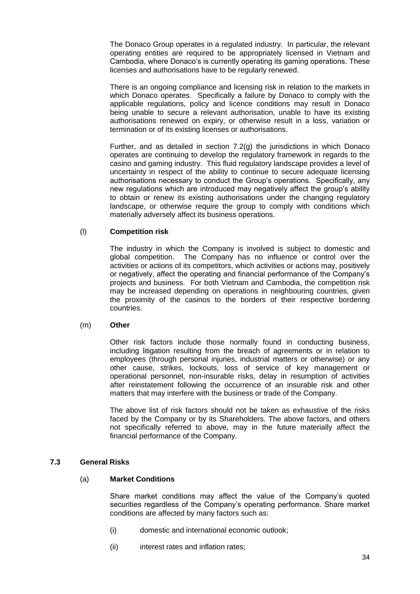The Donaco Group operates in a regulated industry. In particular, the relevant operating entities are required to be appropriately licensed in Vietnam and Cambodia, where Donaco's is currently operating its gaming operations. These licenses and authorisations have to be regularly renewed.

There is an ongoing compliance and licensing risk in relation to the markets in which Donaco operates. Specifically a failure by Donaco to comply with the applicable regulations, policy and licence conditions may result in Donaco being unable to secure a relevant authorisation, unable to have its existing authorisations renewed on expiry, or otherwise result in a loss, variation or termination or of its existing licenses or authorisations.

Further, and as detailed in section 7.[2\(g\)](#page-33-0) the jurisdictions in which Donaco operates are continuing to develop the regulatory framework in regards to the casino and gaming industry. This fluid regulatory landscape provides a level of uncertainty in respect of the ability to continue to secure adequate licensing authorisations necessary to conduct the Group's operations. Specifically, any new regulations which are introduced may negatively affect the group's ability to obtain or renew its existing authorisations under the changing regulatory landscape, or otherwise require the group to comply with conditions which materially adversely affect its business operations.

## (l) **Competition risk**

The industry in which the Company is involved is subject to domestic and global competition. The Company has no influence or control over the activities or actions of its competitors, which activities or actions may, positively or negatively, affect the operating and financial performance of the Company's projects and business. For both Vietnam and Cambodia, the competition risk may be increased depending on operations in neighbouring countries, given the proximity of the casinos to the borders of their respective bordering countries.

## (m) **Other**

Other risk factors include those normally found in conducting business, including litigation resulting from the breach of agreements or in relation to employees (through personal injuries, industrial matters or otherwise) or any other cause, strikes, lockouts, loss of service of key management or operational personnel, non-insurable risks, delay in resumption of activities after reinstatement following the occurrence of an insurable risk and other matters that may interfere with the business or trade of the Company.

The above list of risk factors should not be taken as exhaustive of the risks faced by the Company or by its Shareholders. The above factors, and others not specifically referred to above, may in the future materially affect the financial performance of the Company.

## **7.3 General Risks**

## (a) **Market Conditions**

Share market conditions may affect the value of the Company's quoted securities regardless of the Company's operating performance. Share market conditions are affected by many factors such as:

- (i) domestic and international economic outlook;
- (ii) interest rates and inflation rates;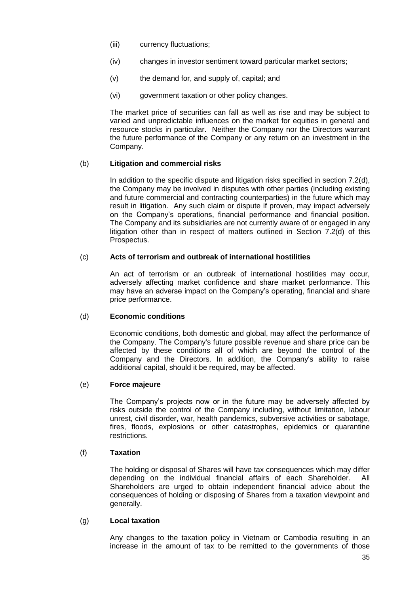- (iii) currency fluctuations;
- (iv) changes in investor sentiment toward particular market sectors;
- (v) the demand for, and supply of, capital; and
- (vi) government taxation or other policy changes.

The market price of securities can fall as well as rise and may be subject to varied and unpredictable influences on the market for equities in general and resource stocks in particular. Neither the Company nor the Directors warrant the future performance of the Company or any return on an investment in the Company.

## (b) **Litigation and commercial risks**

In addition to the specific dispute and litigation risks specified in section 7.2(d), the Company may be involved in disputes with other parties (including existing and future commercial and contracting counterparties) in the future which may result in litigation. Any such claim or dispute if proven, may impact adversely on the Company's operations, financial performance and financial position. The Company and its subsidiaries are not currently aware of or engaged in any litigation other than in respect of matters outlined in Section 7.2(d) of this Prospectus.

## (c) **Acts of terrorism and outbreak of international hostilities**

An act of terrorism or an outbreak of international hostilities may occur, adversely affecting market confidence and share market performance. This may have an adverse impact on the Company's operating, financial and share price performance.

## (d) **Economic conditions**

Economic conditions, both domestic and global, may affect the performance of the Company. The Company's future possible revenue and share price can be affected by these conditions all of which are beyond the control of the Company and the Directors. In addition, the Company's ability to raise additional capital, should it be required, may be affected.

## (e) **Force majeure**

The Company's projects now or in the future may be adversely affected by risks outside the control of the Company including, without limitation, labour unrest, civil disorder, war, health pandemics, subversive activities or sabotage, fires, floods, explosions or other catastrophes, epidemics or quarantine restrictions.

## (f) **Taxation**

The holding or disposal of Shares will have tax consequences which may differ depending on the individual financial affairs of each Shareholder. All Shareholders are urged to obtain independent financial advice about the consequences of holding or disposing of Shares from a taxation viewpoint and generally.

## (g) **Local taxation**

Any changes to the taxation policy in Vietnam or Cambodia resulting in an increase in the amount of tax to be remitted to the governments of those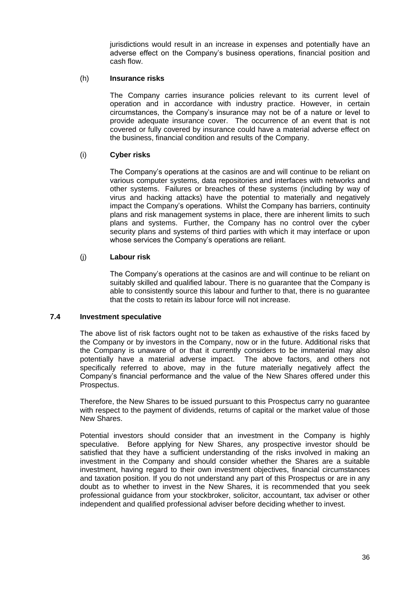jurisdictions would result in an increase in expenses and potentially have an adverse effect on the Company's business operations, financial position and cash flow.

#### (h) **Insurance risks**

The Company carries insurance policies relevant to its current level of operation and in accordance with industry practice. However, in certain circumstances, the Company's insurance may not be of a nature or level to provide adequate insurance cover. The occurrence of an event that is not covered or fully covered by insurance could have a material adverse effect on the business, financial condition and results of the Company.

## (i) **Cyber risks**

The Company's operations at the casinos are and will continue to be reliant on various computer systems, data repositories and interfaces with networks and other systems. Failures or breaches of these systems (including by way of virus and hacking attacks) have the potential to materially and negatively impact the Company's operations. Whilst the Company has barriers, continuity plans and risk management systems in place, there are inherent limits to such plans and systems. Further, the Company has no control over the cyber security plans and systems of third parties with which it may interface or upon whose services the Company's operations are reliant.

## (j) **Labour risk**

The Company's operations at the casinos are and will continue to be reliant on suitably skilled and qualified labour. There is no guarantee that the Company is able to consistently source this labour and further to that, there is no guarantee that the costs to retain its labour force will not increase.

## **7.4 Investment speculative**

The above list of risk factors ought not to be taken as exhaustive of the risks faced by the Company or by investors in the Company, now or in the future. Additional risks that the Company is unaware of or that it currently considers to be immaterial may also potentially have a material adverse impact. The above factors, and others not specifically referred to above, may in the future materially negatively affect the Company's financial performance and the value of the New Shares offered under this Prospectus.

Therefore, the New Shares to be issued pursuant to this Prospectus carry no guarantee with respect to the payment of dividends, returns of capital or the market value of those New Shares.

Potential investors should consider that an investment in the Company is highly speculative. Before applying for New Shares, any prospective investor should be satisfied that they have a sufficient understanding of the risks involved in making an investment in the Company and should consider whether the Shares are a suitable investment, having regard to their own investment objectives, financial circumstances and taxation position. If you do not understand any part of this Prospectus or are in any doubt as to whether to invest in the New Shares, it is recommended that you seek professional guidance from your stockbroker, solicitor, accountant, tax adviser or other independent and qualified professional adviser before deciding whether to invest.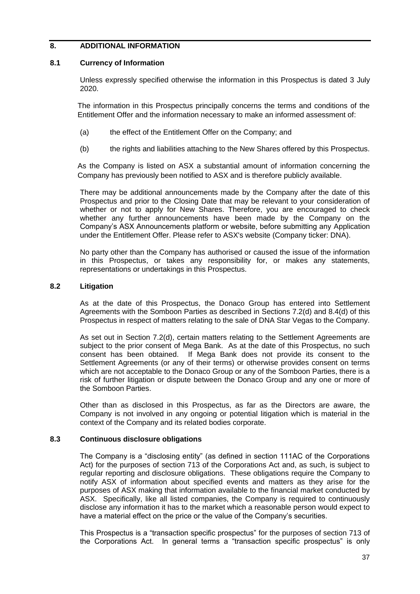## <span id="page-38-0"></span>**8. ADDITIONAL INFORMATION**

## **8.1 Currency of Information**

Unless expressly specified otherwise the information in this Prospectus is dated 3 July 2020.

The information in this Prospectus principally concerns the terms and conditions of the Entitlement Offer and the information necessary to make an informed assessment of:

- (a) the effect of the Entitlement Offer on the Company; and
- (b) the rights and liabilities attaching to the New Shares offered by this Prospectus.

As the Company is listed on ASX a substantial amount of information concerning the Company has previously been notified to ASX and is therefore publicly available.

There may be additional announcements made by the Company after the date of this Prospectus and prior to the Closing Date that may be relevant to your consideration of whether or not to apply for New Shares. Therefore, you are encouraged to check whether any further announcements have been made by the Company on the Company's ASX Announcements platform or website, before submitting any Application under the Entitlement Offer. Please refer to ASX's website (Company ticker: DNA).

No party other than the Company has authorised or caused the issue of the information in this Prospectus, or takes any responsibility for, or makes any statements, representations or undertakings in this Prospectus.

## **8.2 Litigation**

As at the date of this Prospectus, the Donaco Group has entered into Settlement Agreements with the Somboon Parties as described in Sections 7.2(d) and 8.4(d) of this Prospectus in respect of matters relating to the sale of DNA Star Vegas to the Company.

As set out in Section 7.2(d), certain matters relating to the Settlement Agreements are subject to the prior consent of Mega Bank. As at the date of this Prospectus, no such consent has been obtained. If Mega Bank does not provide its consent to the Settlement Agreements (or any of their terms) or otherwise provides consent on terms which are not acceptable to the Donaco Group or any of the Somboon Parties, there is a risk of further litigation or dispute between the Donaco Group and any one or more of the Somboon Parties.

Other than as disclosed in this Prospectus, as far as the Directors are aware, the Company is not involved in any ongoing or potential litigation which is material in the context of the Company and its related bodies corporate.

## **8.3 Continuous disclosure obligations**

The Company is a "disclosing entity" (as defined in section 111AC of the Corporations Act) for the purposes of section 713 of the Corporations Act and, as such, is subject to regular reporting and disclosure obligations. These obligations require the Company to notify ASX of information about specified events and matters as they arise for the purposes of ASX making that information available to the financial market conducted by ASX. Specifically, like all listed companies, the Company is required to continuously disclose any information it has to the market which a reasonable person would expect to have a material effect on the price or the value of the Company's securities.

This Prospectus is a "transaction specific prospectus" for the purposes of section 713 of the Corporations Act. In general terms a "transaction specific prospectus" is only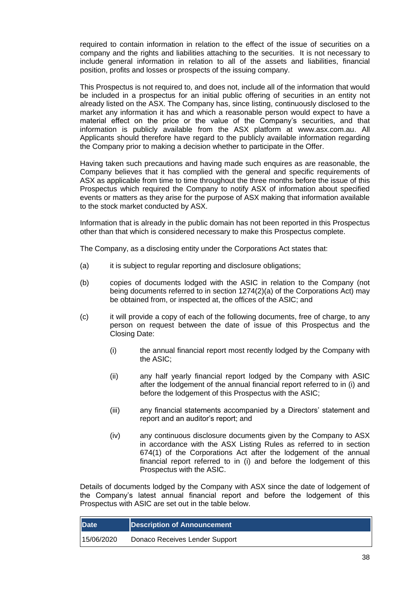required to contain information in relation to the effect of the issue of securities on a company and the rights and liabilities attaching to the securities. It is not necessary to include general information in relation to all of the assets and liabilities, financial position, profits and losses or prospects of the issuing company.

This Prospectus is not required to, and does not, include all of the information that would be included in a prospectus for an initial public offering of securities in an entity not already listed on the ASX. The Company has, since listing, continuously disclosed to the market any information it has and which a reasonable person would expect to have a material effect on the price or the value of the Company's securities, and that information is publicly available from the ASX platform at www.asx.com.au. All Applicants should therefore have regard to the publicly available information regarding the Company prior to making a decision whether to participate in the Offer.

Having taken such precautions and having made such enquires as are reasonable, the Company believes that it has complied with the general and specific requirements of ASX as applicable from time to time throughout the three months before the issue of this Prospectus which required the Company to notify ASX of information about specified events or matters as they arise for the purpose of ASX making that information available to the stock market conducted by ASX.

Information that is already in the public domain has not been reported in this Prospectus other than that which is considered necessary to make this Prospectus complete.

The Company, as a disclosing entity under the Corporations Act states that:

- (a) it is subject to regular reporting and disclosure obligations;
- (b) copies of documents lodged with the ASIC in relation to the Company (not being documents referred to in section 1274(2)(a) of the Corporations Act) may be obtained from, or inspected at, the offices of the ASIC; and
- (c) it will provide a copy of each of the following documents, free of charge, to any person on request between the date of issue of this Prospectus and the Closing Date:
	- (i) the annual financial report most recently lodged by the Company with the ASIC;
	- (ii) any half yearly financial report lodged by the Company with ASIC after the lodgement of the annual financial report referred to in (i) and before the lodgement of this Prospectus with the ASIC;
	- (iii) any financial statements accompanied by a Directors' statement and report and an auditor's report; and
	- (iv) any continuous disclosure documents given by the Company to ASX in accordance with the ASX Listing Rules as referred to in section 674(1) of the Corporations Act after the lodgement of the annual financial report referred to in (i) and before the lodgement of this Prospectus with the ASIC.

Details of documents lodged by the Company with ASX since the date of lodgement of the Company's latest annual financial report and before the lodgement of this Prospectus with ASIC are set out in the table below.

| <b>Date</b> | Description of Announcement    |
|-------------|--------------------------------|
| 15/06/2020  | Donaco Receives Lender Support |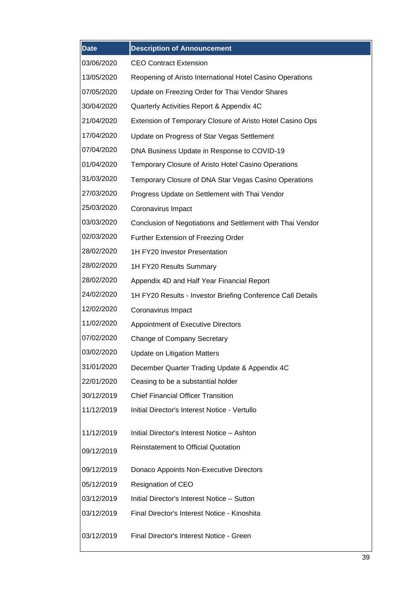| <b>Date</b> | <b>Description of Announcement</b>                          |
|-------------|-------------------------------------------------------------|
| 03/06/2020  | <b>CEO Contract Extension</b>                               |
| 13/05/2020  | Reopening of Aristo International Hotel Casino Operations   |
| 07/05/2020  | Update on Freezing Order for Thai Vendor Shares             |
| 30/04/2020  | Quarterly Activities Report & Appendix 4C                   |
| 21/04/2020  | Extension of Temporary Closure of Aristo Hotel Casino Ops   |
| 17/04/2020  | Update on Progress of Star Vegas Settlement                 |
| 07/04/2020  | DNA Business Update in Response to COVID-19                 |
| 01/04/2020  | Temporary Closure of Aristo Hotel Casino Operations         |
| 31/03/2020  | Temporary Closure of DNA Star Vegas Casino Operations       |
| 27/03/2020  | Progress Update on Settlement with Thai Vendor              |
| 25/03/2020  | Coronavirus Impact                                          |
| 03/03/2020  | Conclusion of Negotiations and Settlement with Thai Vendor  |
| 02/03/2020  | Further Extension of Freezing Order                         |
| 28/02/2020  | 1H FY20 Investor Presentation                               |
| 28/02/2020  | 1H FY20 Results Summary                                     |
| 28/02/2020  | Appendix 4D and Half Year Financial Report                  |
| 24/02/2020  | 1H FY20 Results - Investor Briefing Conference Call Details |
| 12/02/2020  | Coronavirus Impact                                          |
| 11/02/2020  | Appointment of Executive Directors                          |
| 07/02/2020  | Change of Company Secretary                                 |
| 03/02/2020  | <b>Update on Litigation Matters</b>                         |
| 31/01/2020  | December Quarter Trading Update & Appendix 4C               |
| 22/01/2020  | Ceasing to be a substantial holder                          |
| 30/12/2019  | <b>Chief Financial Officer Transition</b>                   |
| 11/12/2019  | Initial Director's Interest Notice - Vertullo               |
| 11/12/2019  | Initial Director's Interest Notice - Ashton                 |
|             | <b>Reinstatement to Official Quotation</b>                  |
| 09/12/2019  |                                                             |
| 09/12/2019  | Donaco Appoints Non-Executive Directors                     |
| 05/12/2019  | Resignation of CEO                                          |
| 03/12/2019  | Initial Director's Interest Notice - Sutton                 |
| 03/12/2019  | Final Director's Interest Notice - Kinoshita                |
| 03/12/2019  | Final Director's Interest Notice - Green                    |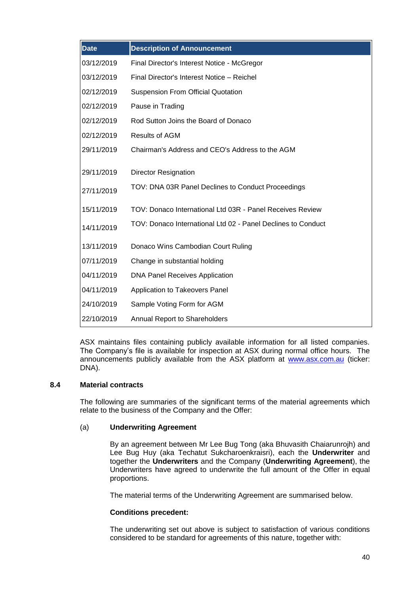| <b>Date</b> | <b>Description of Announcement</b>                           |
|-------------|--------------------------------------------------------------|
| 03/12/2019  | Final Director's Interest Notice - McGregor                  |
| 03/12/2019  | Final Director's Interest Notice - Reichel                   |
| 02/12/2019  | <b>Suspension From Official Quotation</b>                    |
| 02/12/2019  | Pause in Trading                                             |
| 02/12/2019  | Rod Sutton Joins the Board of Donaco                         |
| 02/12/2019  | <b>Results of AGM</b>                                        |
| 29/11/2019  | Chairman's Address and CEO's Address to the AGM              |
| 29/11/2019  | <b>Director Resignation</b>                                  |
| 27/11/2019  | TOV: DNA 03R Panel Declines to Conduct Proceedings           |
| 15/11/2019  | TOV: Donaco International Ltd 03R - Panel Receives Review    |
| 14/11/2019  | TOV: Donaco International Ltd 02 - Panel Declines to Conduct |
| 13/11/2019  | Donaco Wins Cambodian Court Ruling                           |
| 07/11/2019  | Change in substantial holding                                |
| 04/11/2019  | <b>DNA Panel Receives Application</b>                        |
| 04/11/2019  | Application to Takeovers Panel                               |
| 24/10/2019  | Sample Voting Form for AGM                                   |
| 22/10/2019  | <b>Annual Report to Shareholders</b>                         |

ASX maintains files containing publicly available information for all listed companies. The Company's file is available for inspection at ASX during normal office hours. The announcements publicly available from the ASX platform at [www.asx.com.au](http://www.asx.com.au/) (ticker: DNA).

## **8.4 Material contracts**

<span id="page-41-0"></span>The following are summaries of the significant terms of the material agreements which relate to the business of the Company and the Offer:

## <span id="page-41-1"></span>(a) **Underwriting Agreement**

By an agreement between Mr Lee Bug Tong (aka Bhuvasith Chaiarunrojh) and Lee Bug Huy (aka Techatut Sukcharoenkraisri), each the **Underwriter** and together the **Underwriters** and the Company (**Underwriting Agreement**), the Underwriters have agreed to underwrite the full amount of the Offer in equal proportions.

The material terms of the Underwriting Agreement are summarised below.

## **Conditions precedent:**

The underwriting set out above is subject to satisfaction of various conditions considered to be standard for agreements of this nature, together with: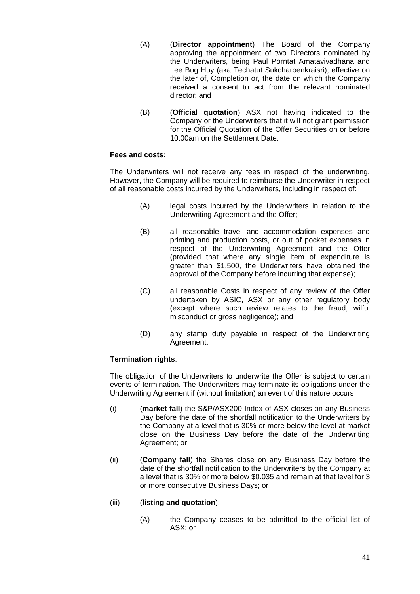- (A) (**Director appointment**) The Board of the Company approving the appointment of two Directors nominated by the Underwriters, being Paul Porntat Amatavivadhana and Lee Bug Huy (aka Techatut Sukcharoenkraisri), effective on the later of, Completion or, the date on which the Company received a consent to act from the relevant nominated director; and
- (B) (**Official quotation**) ASX not having indicated to the Company or the Underwriters that it will not grant permission for the Official Quotation of the Offer Securities on or before 10.00am on the Settlement Date.

## **Fees and costs:**

The Underwriters will not receive any fees in respect of the underwriting. However, the Company will be required to reimburse the Underwriter in respect of all reasonable costs incurred by the Underwriters, including in respect of:

- (A) legal costs incurred by the Underwriters in relation to the Underwriting Agreement and the Offer;
- (B) all reasonable travel and accommodation expenses and printing and production costs, or out of pocket expenses in respect of the Underwriting Agreement and the Offer (provided that where any single item of expenditure is greater than \$1,500, the Underwriters have obtained the approval of the Company before incurring that expense);
- (C) all reasonable Costs in respect of any review of the Offer undertaken by ASIC, ASX or any other regulatory body (except where such review relates to the fraud, wilful misconduct or gross negligence); and
- (D) any stamp duty payable in respect of the Underwriting Agreement.

# **Termination rights**:

The obligation of the Underwriters to underwrite the Offer is subject to certain events of termination. The Underwriters may terminate its obligations under the Underwriting Agreement if (without limitation) an event of this nature occurs

- (i) (**market fall**) the S&P/ASX200 Index of ASX closes on any Business Day before the date of the shortfall notification to the Underwriters by the Company at a level that is 30% or more below the level at market close on the Business Day before the date of the Underwriting Agreement; or
- (ii) (**Company fall**) the Shares close on any Business Day before the date of the shortfall notification to the Underwriters by the Company at a level that is 30% or more below \$0.035 and remain at that level for 3 or more consecutive Business Days; or

## (iii) (**listing and quotation**):

(A) the Company ceases to be admitted to the official list of ASX; or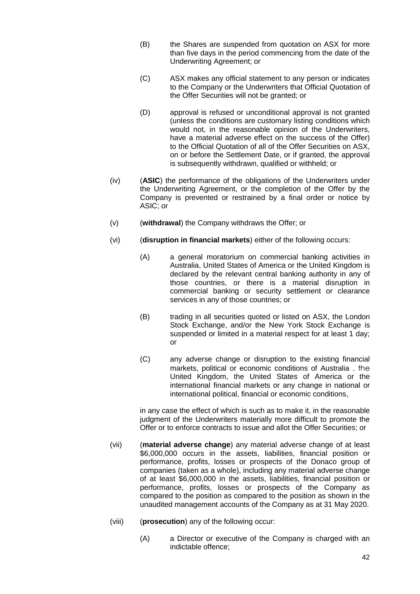- (B) the Shares are suspended from quotation on ASX for more than five days in the period commencing from the date of the Underwriting Agreement; or
- (C) ASX makes any official statement to any person or indicates to the Company or the Underwriters that Official Quotation of the Offer Securities will not be granted; or
- (D) approval is refused or unconditional approval is not granted (unless the conditions are customary listing conditions which would not, in the reasonable opinion of the Underwriters, have a material adverse effect on the success of the Offer) to the Official Quotation of all of the Offer Securities on ASX, on or before the Settlement Date, or if granted, the approval is subsequently withdrawn, qualified or withheld; or
- (iv) (**ASIC**) the performance of the obligations of the Underwriters under the Underwriting Agreement, or the completion of the Offer by the Company is prevented or restrained by a final order or notice by ASIC; or
- (v) (**withdrawal**) the Company withdraws the Offer; or
- (vi) (**disruption in financial markets**) either of the following occurs:
	- (A) a general moratorium on commercial banking activities in Australia, United States of America or the United Kingdom is declared by the relevant central banking authority in any of those countries, or there is a material disruption in commercial banking or security settlement or clearance services in any of those countries; or
	- (B) trading in all securities quoted or listed on ASX, the London Stock Exchange, and/or the New York Stock Exchange is suspended or limited in a material respect for at least 1 day; or
	- (C) any adverse change or disruption to the existing financial markets, political or economic conditions of Australia , the United Kingdom, the United States of America or the international financial markets or any change in national or international political, financial or economic conditions,

in any case the effect of which is such as to make it, in the reasonable judgment of the Underwriters materially more difficult to promote the Offer or to enforce contracts to issue and allot the Offer Securities; or

- (vii) (**material adverse change**) any material adverse change of at least \$6,000,000 occurs in the assets, liabilities, financial position or performance, profits, losses or prospects of the Donaco group of companies (taken as a whole), including any material adverse change of at least \$6,000,000 in the assets, liabilities, financial position or performance, profits, losses or prospects of the Company as compared to the position as compared to the position as shown in the unaudited management accounts of the Company as at 31 May 2020.
- (viii) (**prosecution**) any of the following occur:
	- (A) a Director or executive of the Company is charged with an indictable offence;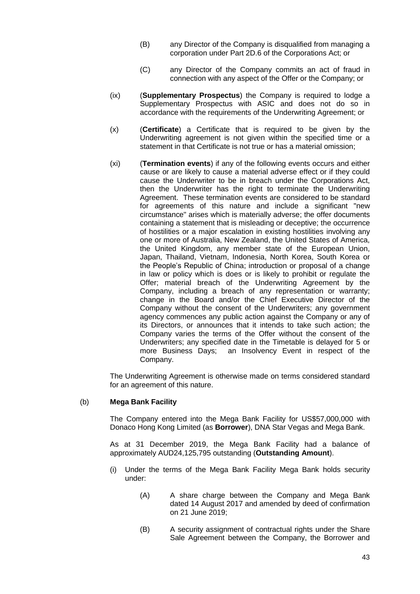- (B) any Director of the Company is disqualified from managing a corporation under Part 2D.6 of the Corporations Act; or
- (C) any Director of the Company commits an act of fraud in connection with any aspect of the Offer or the Company; or
- (ix) (**Supplementary Prospectus**) the Company is required to lodge a Supplementary Prospectus with ASIC and does not do so in accordance with the requirements of the Underwriting Agreement; or
- (x) (**Certificate**) a Certificate that is required to be given by the Underwriting agreement is not given within the specified time or a statement in that Certificate is not true or has a material omission;
- (xi) (**Termination events**) if any of the following events occurs and either cause or are likely to cause a material adverse effect or if they could cause the Underwriter to be in breach under the Corporations Act, then the Underwriter has the right to terminate the Underwriting Agreement. These termination events are considered to be standard for agreements of this nature and include a significant "new circumstance" arises which is materially adverse; the offer documents containing a statement that is misleading or deceptive; the occurrence of hostilities or a major escalation in existing hostilities involving any one or more of Australia, New Zealand, the United States of America, the United Kingdom, any member state of the European Union, Japan, Thailand, Vietnam, Indonesia, North Korea, South Korea or the People's Republic of China; introduction or proposal of a change in law or policy which is does or is likely to prohibit or regulate the Offer; material breach of the Underwriting Agreement by the Company, including a breach of any representation or warranty; change in the Board and/or the Chief Executive Director of the Company without the consent of the Underwriters; any government agency commences any public action against the Company or any of its Directors, or announces that it intends to take such action; the Company varies the terms of the Offer without the consent of the Underwriters; any specified date in the Timetable is delayed for 5 or more Business Days; an Insolvency Event in respect of the Company.

The Underwriting Agreement is otherwise made on terms considered standard for an agreement of this nature.

## (b) **Mega Bank Facility**

The Company entered into the Mega Bank Facility for US\$57,000,000 with Donaco Hong Kong Limited (as **Borrower**), DNA Star Vegas and Mega Bank.

As at 31 December 2019, the Mega Bank Facility had a balance of approximately AUD24,125,795 outstanding (**Outstanding Amount**).

- (i) Under the terms of the Mega Bank Facility Mega Bank holds security under:
	- (A) A share charge between the Company and Mega Bank dated 14 August 2017 and amended by deed of confirmation on 21 June 2019;
	- (B) A security assignment of contractual rights under the Share Sale Agreement between the Company, the Borrower and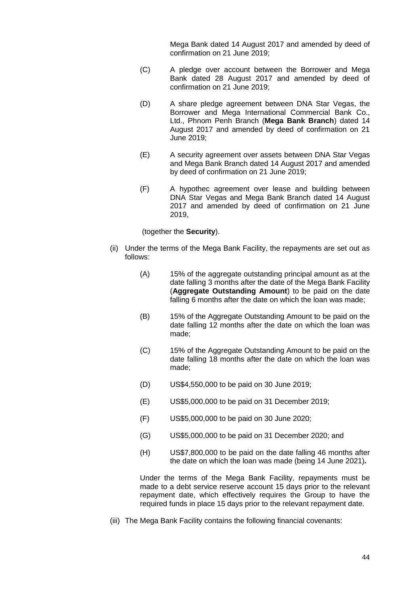Mega Bank dated 14 August 2017 and amended by deed of confirmation on 21 June 2019;

- (C) A pledge over account between the Borrower and Mega Bank dated 28 August 2017 and amended by deed of confirmation on 21 June 2019;
- (D) A share pledge agreement between DNA Star Vegas, the Borrower and Mega International Commercial Bank Co., Ltd., Phnom Penh Branch (**Mega Bank Branch**) dated 14 August 2017 and amended by deed of confirmation on 21 June 2019;
- (E) A security agreement over assets between DNA Star Vegas and Mega Bank Branch dated 14 August 2017 and amended by deed of confirmation on 21 June 2019;
- (F) A hypothec agreement over lease and building between DNA Star Vegas and Mega Bank Branch dated 14 August 2017 and amended by deed of confirmation on 21 June 2019,

(together the **Security**).

- (ii) Under the terms of the Mega Bank Facility, the repayments are set out as follows:
	- (A) 15% of the aggregate outstanding principal amount as at the date falling 3 months after the date of the Mega Bank Facility (**Aggregate Outstanding Amount**) to be paid on the date falling 6 months after the date on which the loan was made;
	- (B) 15% of the Aggregate Outstanding Amount to be paid on the date falling 12 months after the date on which the loan was made;
	- (C) 15% of the Aggregate Outstanding Amount to be paid on the date falling 18 months after the date on which the loan was made;
	- (D) US\$4,550,000 to be paid on 30 June 2019;
	- (E) US\$5,000,000 to be paid on 31 December 2019;
	- (F) US\$5,000,000 to be paid on 30 June 2020;
	- (G) US\$5,000,000 to be paid on 31 December 2020; and
	- (H) US\$7,800,000 to be paid on the date falling 46 months after the date on which the loan was made (being 14 June 2021)*.*

Under the terms of the Mega Bank Facility, repayments must be made to a debt service reserve account 15 days prior to the relevant repayment date, which effectively requires the Group to have the required funds in place 15 days prior to the relevant repayment date.

(iii) The Mega Bank Facility contains the following financial covenants: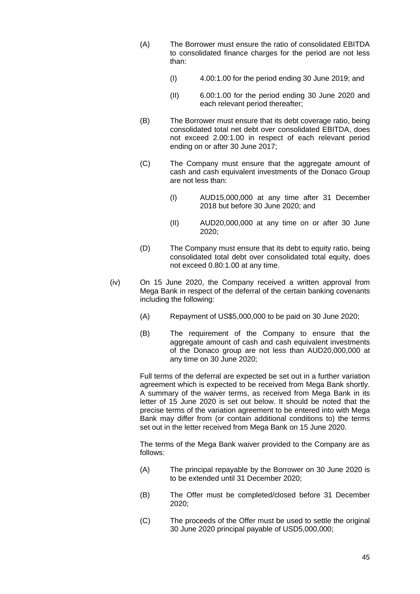- (A) The Borrower must ensure the ratio of consolidated EBITDA to consolidated finance charges for the period are not less than:
	- (I) 4.00:1.00 for the period ending 30 June 2019; and
	- (II) 6.00:1.00 for the period ending 30 June 2020 and each relevant period thereafter;
- (B) The Borrower must ensure that its debt coverage ratio, being consolidated total net debt over consolidated EBITDA, does not exceed 2.00:1.00 in respect of each relevant period ending on or after 30 June 2017;
- (C) The Company must ensure that the aggregate amount of cash and cash equivalent investments of the Donaco Group are not less than:
	- (I) AUD15,000,000 at any time after 31 December 2018 but before 30 June 2020; and
	- (II) AUD20,000,000 at any time on or after 30 June 2020;
- (D) The Company must ensure that its debt to equity ratio, being consolidated total debt over consolidated total equity, does not exceed 0.80:1.00 at any time.
- (iv) On 15 June 2020, the Company received a written approval from Mega Bank in respect of the deferral of the certain banking covenants including the following:
	- (A) Repayment of US\$5,000,000 to be paid on 30 June 2020;
	- (B) The requirement of the Company to ensure that the aggregate amount of cash and cash equivalent investments of the Donaco group are not less than AUD20,000,000 at any time on 30 June 2020;

Full terms of the deferral are expected be set out in a further variation agreement which is expected to be received from Mega Bank shortly. A summary of the waiver terms, as received from Mega Bank in its letter of 15 June 2020 is set out below. It should be noted that the precise terms of the variation agreement to be entered into with Mega Bank may differ from (or contain additional conditions to) the terms set out in the letter received from Mega Bank on 15 June 2020.

The terms of the Mega Bank waiver provided to the Company are as follows:

- (A) The principal repayable by the Borrower on 30 June 2020 is to be extended until 31 December 2020;
- (B) The Offer must be completed/closed before 31 December 2020;
- (C) The proceeds of the Offer must be used to settle the original 30 June 2020 principal payable of USD5,000,000;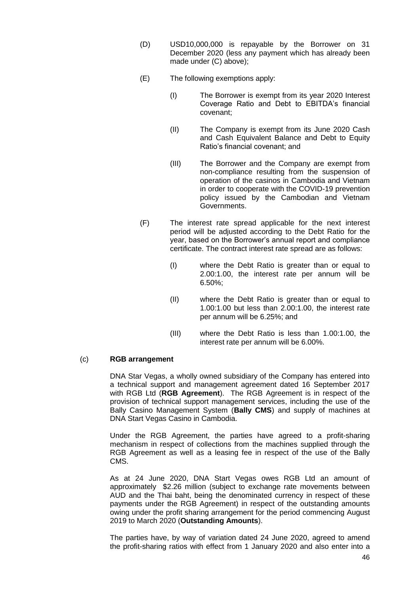- (D) USD10,000,000 is repayable by the Borrower on 31 December 2020 (less any payment which has already been made under (C) above);
- (E) The following exemptions apply:
	- (I) The Borrower is exempt from its year 2020 Interest Coverage Ratio and Debt to EBITDA's financial covenant;
	- (II) The Company is exempt from its June 2020 Cash and Cash Equivalent Balance and Debt to Equity Ratio's financial covenant; and
	- (III) The Borrower and the Company are exempt from non-compliance resulting from the suspension of operation of the casinos in Cambodia and Vietnam in order to cooperate with the COVID-19 prevention policy issued by the Cambodian and Vietnam Governments.
- (F) The interest rate spread applicable for the next interest period will be adjusted according to the Debt Ratio for the year, based on the Borrower's annual report and compliance certificate. The contract interest rate spread are as follows:
	- (I) where the Debt Ratio is greater than or equal to 2.00:1.00, the interest rate per annum will be 6.50%;
	- (II) where the Debt Ratio is greater than or equal to 1.00:1.00 but less than 2.00:1.00, the interest rate per annum will be 6.25%; and
	- (III) where the Debt Ratio is less than 1.00:1.00, the interest rate per annum will be 6.00%.

# (c) **RGB arrangement**

DNA Star Vegas, a wholly owned subsidiary of the Company has entered into a technical support and management agreement dated 16 September 2017 with RGB Ltd (**RGB Agreement**). The RGB Agreement is in respect of the provision of technical support management services, including the use of the Bally Casino Management System (**Bally CMS**) and supply of machines at DNA Start Vegas Casino in Cambodia.

Under the RGB Agreement, the parties have agreed to a profit-sharing mechanism in respect of collections from the machines supplied through the RGB Agreement as well as a leasing fee in respect of the use of the Bally CMS.

As at 24 June 2020, DNA Start Vegas owes RGB Ltd an amount of approximately \$2.26 million (subject to exchange rate movements between AUD and the Thai baht, being the denominated currency in respect of these payments under the RGB Agreement) in respect of the outstanding amounts owing under the profit sharing arrangement for the period commencing August 2019 to March 2020 (**Outstanding Amounts**).

The parties have, by way of variation dated 24 June 2020, agreed to amend the profit-sharing ratios with effect from 1 January 2020 and also enter into a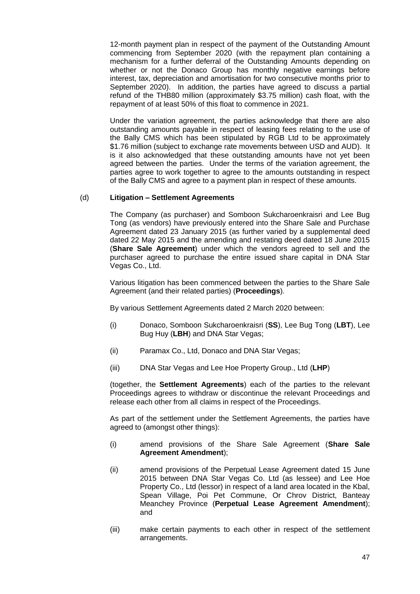12-month payment plan in respect of the payment of the Outstanding Amount commencing from September 2020 (with the repayment plan containing a mechanism for a further deferral of the Outstanding Amounts depending on whether or not the Donaco Group has monthly negative earnings before interest, tax, depreciation and amortisation for two consecutive months prior to September 2020). In addition, the parties have agreed to discuss a partial refund of the THB80 million (approximately \$3.75 million) cash float, with the repayment of at least 50% of this float to commence in 2021.

Under the variation agreement, the parties acknowledge that there are also outstanding amounts payable in respect of leasing fees relating to the use of the Bally CMS which has been stipulated by RGB Ltd to be approximately \$1.76 million (subject to exchange rate movements between USD and AUD). It is it also acknowledged that these outstanding amounts have not yet been agreed between the parties. Under the terms of the variation agreement, the parties agree to work together to agree to the amounts outstanding in respect of the Bally CMS and agree to a payment plan in respect of these amounts.

## (d) **Litigation – Settlement Agreements**

The Company (as purchaser) and Somboon Sukcharoenkraisri and Lee Bug Tong (as vendors) have previously entered into the Share Sale and Purchase Agreement dated 23 January 2015 (as further varied by a supplemental deed dated 22 May 2015 and the amending and restating deed dated 18 June 2015 (**Share Sale Agreement**) under which the vendors agreed to sell and the purchaser agreed to purchase the entire issued share capital in DNA Star Vegas Co., Ltd.

Various litigation has been commenced between the parties to the Share Sale Agreement (and their related parties) (**Proceedings**).

By various Settlement Agreements dated 2 March 2020 between:

- (i) Donaco, Somboon Sukcharoenkraisri (**SS**), Lee Bug Tong (**LBT**), Lee Bug Huy (**LBH**) and DNA Star Vegas;
- (ii) Paramax Co., Ltd, Donaco and DNA Star Vegas;
- (iii) DNA Star Vegas and Lee Hoe Property Group., Ltd (**LHP**)

(together, the **Settlement Agreements**) each of the parties to the relevant Proceedings agrees to withdraw or discontinue the relevant Proceedings and release each other from all claims in respect of the Proceedings.

As part of the settlement under the Settlement Agreements, the parties have agreed to (amongst other things):

- (i) amend provisions of the Share Sale Agreement (**Share Sale Agreement Amendment**);
- (ii) amend provisions of the Perpetual Lease Agreement dated 15 June 2015 between DNA Star Vegas Co. Ltd (as lessee) and Lee Hoe Property Co., Ltd (lessor) in respect of a land area located in the Kbal, Spean Village, Poi Pet Commune, Or Chrov District, Banteay Meanchey Province (**Perpetual Lease Agreement Amendment**); and
- (iii) make certain payments to each other in respect of the settlement arrangements.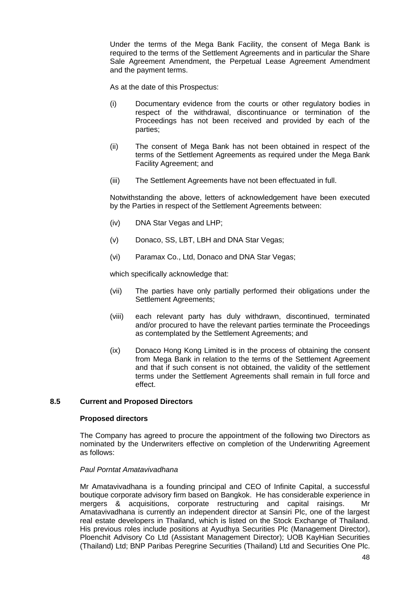Under the terms of the Mega Bank Facility, the consent of Mega Bank is required to the terms of the Settlement Agreements and in particular the Share Sale Agreement Amendment, the Perpetual Lease Agreement Amendment and the payment terms.

As at the date of this Prospectus:

- (i) Documentary evidence from the courts or other regulatory bodies in respect of the withdrawal, discontinuance or termination of the Proceedings has not been received and provided by each of the parties;
- (ii) The consent of Mega Bank has not been obtained in respect of the terms of the Settlement Agreements as required under the Mega Bank Facility Agreement; and
- (iii) The Settlement Agreements have not been effectuated in full.

Notwithstanding the above, letters of acknowledgement have been executed by the Parties in respect of the Settlement Agreements between:

- (iv) DNA Star Vegas and LHP;
- (v) Donaco, SS, LBT, LBH and DNA Star Vegas;
- (vi) Paramax Co., Ltd, Donaco and DNA Star Vegas;

which specifically acknowledge that:

- (vii) The parties have only partially performed their obligations under the Settlement Agreements;
- (viii) each relevant party has duly withdrawn, discontinued, terminated and/or procured to have the relevant parties terminate the Proceedings as contemplated by the Settlement Agreements; and
- (ix) Donaco Hong Kong Limited is in the process of obtaining the consent from Mega Bank in relation to the terms of the Settlement Agreement and that if such consent is not obtained, the validity of the settlement terms under the Settlement Agreements shall remain in full force and effect.

## **8.5 Current and Proposed Directors**

#### **Proposed directors**

The Company has agreed to procure the appointment of the following two Directors as nominated by the Underwriters effective on completion of the Underwriting Agreement as follows:

#### *Paul Porntat Amatavivadhana*

Mr Amatavivadhana is a founding principal and CEO of Infinite Capital, a successful boutique corporate advisory firm based on Bangkok. He has considerable experience in mergers & acquisitions, corporate restructuring and capital raisings. Mr Amatavivadhana is currently an independent director at Sansiri Plc, one of the largest real estate developers in Thailand, which is listed on the Stock Exchange of Thailand. His previous roles include positions at Ayudhya Securities Plc (Management Director), Ploenchit Advisory Co Ltd (Assistant Management Director); UOB KayHian Securities (Thailand) Ltd; BNP Paribas Peregrine Securities (Thailand) Ltd and Securities One Plc.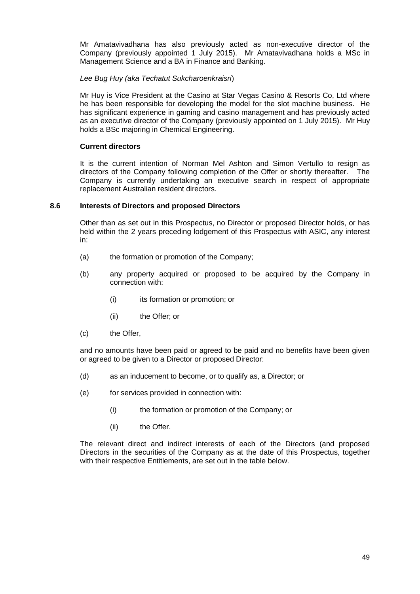Mr Amatavivadhana has also previously acted as non-executive director of the Company (previously appointed 1 July 2015). Mr Amatavivadhana holds a MSc in Management Science and a BA in Finance and Banking.

## *Lee Bug Huy (aka Techatut Sukcharoenkraisri*)

Mr Huy is Vice President at the Casino at Star Vegas Casino & Resorts Co, Ltd where he has been responsible for developing the model for the slot machine business. He has significant experience in gaming and casino management and has previously acted as an executive director of the Company (previously appointed on 1 July 2015). Mr Huy holds a BSc majoring in Chemical Engineering.

## **Current directors**

It is the current intention of Norman Mel Ashton and Simon Vertullo to resign as directors of the Company following completion of the Offer or shortly thereafter. The Company is currently undertaking an executive search in respect of appropriate replacement Australian resident directors.

## **8.6 Interests of Directors and proposed Directors**

Other than as set out in this Prospectus, no Director or proposed Director holds, or has held within the 2 years preceding lodgement of this Prospectus with ASIC, any interest in:

- (a) the formation or promotion of the Company;
- (b) any property acquired or proposed to be acquired by the Company in connection with:
	- (i) its formation or promotion; or
	- (ii) the Offer; or
- (c) the Offer,

and no amounts have been paid or agreed to be paid and no benefits have been given or agreed to be given to a Director or proposed Director:

- (d) as an inducement to become, or to qualify as, a Director; or
- (e) for services provided in connection with:
	- (i) the formation or promotion of the Company; or
	- (ii) the Offer.

The relevant direct and indirect interests of each of the Directors (and proposed Directors in the securities of the Company as at the date of this Prospectus, together with their respective Entitlements, are set out in the table below.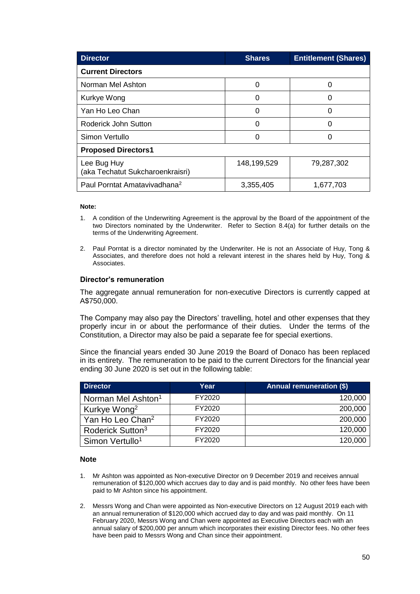| <b>Director</b>                                 | <b>Shares</b> | <b>Entitlement (Shares)</b> |
|-------------------------------------------------|---------------|-----------------------------|
| <b>Current Directors</b>                        |               |                             |
| Norman Mel Ashton                               | 0             | Ω                           |
| Kurkye Wong                                     | 0             | O                           |
| Yan Ho Leo Chan                                 | 0             | O                           |
| Roderick John Sutton                            | 0             | O                           |
| Simon Vertullo                                  |               | O                           |
| <b>Proposed Directors1</b>                      |               |                             |
| Lee Bug Huy<br>(aka Techatut Sukcharoenkraisri) | 148,199,529   | 79,287,302                  |
| Paul Porntat Amatavivadhana <sup>2</sup>        | 3,355,405     | 1,677,703                   |

#### **Note:**

- 1. A condition of the Underwriting Agreement is the approval by the Board of the appointment of the two Directors nominated by the Underwriter. Refer to Section [8.4\(a\)](#page-41-1) for further details on the terms of the Underwriting Agreement.
- 2. Paul Porntat is a director nominated by the Underwriter. He is not an Associate of Huy, Tong & Associates, and therefore does not hold a relevant interest in the shares held by Huy, Tong & Associates.

#### **Director's remuneration**

The aggregate annual remuneration for non-executive Directors is currently capped at A\$750,000.

The Company may also pay the Directors' travelling, hotel and other expenses that they properly incur in or about the performance of their duties. Under the terms of the Constitution, a Director may also be paid a separate fee for special exertions.

Since the financial years ended 30 June 2019 the Board of Donaco has been replaced in its entirety. The remuneration to be paid to the current Directors for the financial year ending 30 June 2020 is set out in the following table:

| <b>Director</b>                | Year   | <b>Annual remuneration (\$)</b> |
|--------------------------------|--------|---------------------------------|
| Norman Mel Ashton <sup>1</sup> | FY2020 | 120,000                         |
| Kurkye Wong <sup>2</sup>       | FY2020 | 200,000                         |
| Yan Ho Leo Chan <sup>2</sup>   | FY2020 | 200,000                         |
| Roderick Sutton <sup>3</sup>   | FY2020 | 120,000                         |
| Simon Vertullo <sup>1</sup>    | FY2020 | 120,000                         |

#### **Note**

- 1. Mr Ashton was appointed as Non-executive Director on 9 December 2019 and receives annual remuneration of \$120,000 which accrues day to day and is paid monthly. No other fees have been paid to Mr Ashton since his appointment.
- 2. Messrs Wong and Chan were appointed as Non-executive Directors on 12 August 2019 each with an annual remuneration of \$120,000 which accrued day to day and was paid monthly. On 11 February 2020, Messrs Wong and Chan were appointed as Executive Directors each with an annual salary of \$200,000 per annum which incorporates their existing Director fees. No other fees have been paid to Messrs Wong and Chan since their appointment.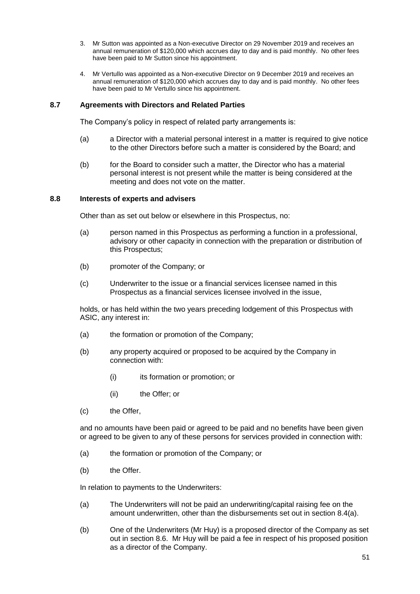- 3. Mr Sutton was appointed as a Non-executive Director on 29 November 2019 and receives an annual remuneration of \$120,000 which accrues day to day and is paid monthly. No other fees have been paid to Mr Sutton since his appointment.
- 4. Mr Vertullo was appointed as a Non-executive Director on 9 December 2019 and receives an annual remuneration of \$120,000 which accrues day to day and is paid monthly. No other fees have been paid to Mr Vertullo since his appointment.

## **8.7 Agreements with Directors and Related Parties**

The Company's policy in respect of related party arrangements is:

- (a) a Director with a material personal interest in a matter is required to give notice to the other Directors before such a matter is considered by the Board; and
- (b) for the Board to consider such a matter, the Director who has a material personal interest is not present while the matter is being considered at the meeting and does not vote on the matter.

## **8.8 Interests of experts and advisers**

Other than as set out below or elsewhere in this Prospectus, no:

- (a) person named in this Prospectus as performing a function in a professional, advisory or other capacity in connection with the preparation or distribution of this Prospectus;
- (b) promoter of the Company; or
- (c) Underwriter to the issue or a financial services licensee named in this Prospectus as a financial services licensee involved in the issue,

holds, or has held within the two years preceding lodgement of this Prospectus with ASIC, any interest in:

- (a) the formation or promotion of the Company;
- (b) any property acquired or proposed to be acquired by the Company in connection with:
	- (i) its formation or promotion; or
	- (ii) the Offer; or
- (c) the Offer,

and no amounts have been paid or agreed to be paid and no benefits have been given or agreed to be given to any of these persons for services provided in connection with:

- (a) the formation or promotion of the Company; or
- (b) the Offer.

In relation to payments to the Underwriters:

- (a) The Underwriters will not be paid an underwriting/capital raising fee on the amount underwritten, other than the disbursements set out in section [8.4\(a\).](#page-41-1)
- (b) One of the Underwriters (Mr Huy) is a proposed director of the Company as set out in section 8.6. Mr Huy will be paid a fee in respect of his proposed position as a director of the Company.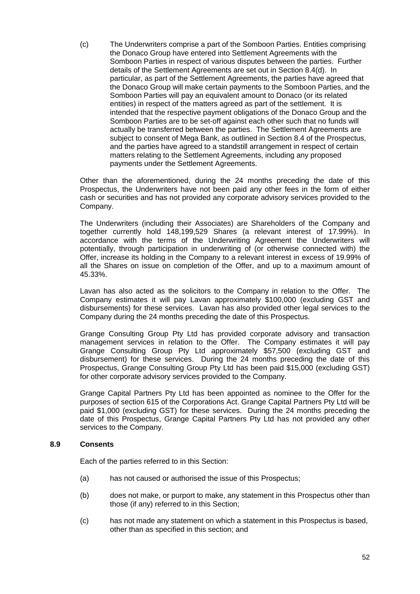(c) The Underwriters comprise a part of the Somboon Parties. Entities comprising the Donaco Group have entered into Settlement Agreements with the Somboon Parties in respect of various disputes between the parties. Further details of the Settlement Agreements are set out in Section 8.4(d). In particular, as part of the Settlement Agreements, the parties have agreed that the Donaco Group will make certain payments to the Somboon Parties, and the Somboon Parties will pay an equivalent amount to Donaco (or its related entities) in respect of the matters agreed as part of the settlement. It is intended that the respective payment obligations of the Donaco Group and the Somboon Parties are to be set-off against each other such that no funds will actually be transferred between the parties. The Settlement Agreements are subject to consent of Mega Bank, as outlined in Section 8.4 of the Prospectus, and the parties have agreed to a standstill arrangement in respect of certain matters relating to the Settlement Agreements, including any proposed payments under the Settlement Agreements.

Other than the aforementioned, during the 24 months preceding the date of this Prospectus, the Underwriters have not been paid any other fees in the form of either cash or securities and has not provided any corporate advisory services provided to the Company.

The Underwriters (including their Associates) are Shareholders of the Company and together currently hold 148,199,529 Shares (a relevant interest of 17.99%). In accordance with the terms of the Underwriting Agreement the Underwriters will potentially, through participation in underwriting of (or otherwise connected with) the Offer, increase its holding in the Company to a relevant interest in excess of 19.99% of all the Shares on issue on completion of the Offer, and up to a maximum amount of 45.33%.

Lavan has also acted as the solicitors to the Company in relation to the Offer. The Company estimates it will pay Lavan approximately \$100,000 (excluding GST and disbursements) for these services. Lavan has also provided other legal services to the Company during the 24 months preceding the date of this Prospectus.

Grange Consulting Group Pty Ltd has provided corporate advisory and transaction management services in relation to the Offer. The Company estimates it will pay Grange Consulting Group Pty Ltd approximately \$57,500 (excluding GST and disbursement) for these services. During the 24 months preceding the date of this Prospectus, Grange Consulting Group Pty Ltd has been paid \$15,000 (excluding GST) for other corporate advisory services provided to the Company.

Grange Capital Partners Pty Ltd has been appointed as nominee to the Offer for the purposes of section 615 of the Corporations Act. Grange Capital Partners Pty Ltd will be paid \$1,000 (excluding GST) for these services. During the 24 months preceding the date of this Prospectus, Grange Capital Partners Pty Ltd has not provided any other services to the Company.

## **8.9 Consents**

Each of the parties referred to in this Section:

- (a) has not caused or authorised the issue of this Prospectus;
- (b) does not make, or purport to make, any statement in this Prospectus other than those (if any) referred to in this Section;
- (c) has not made any statement on which a statement in this Prospectus is based, other than as specified in this section; and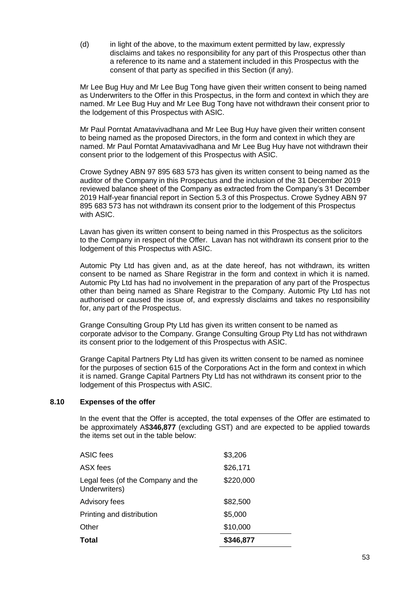(d) in light of the above, to the maximum extent permitted by law, expressly disclaims and takes no responsibility for any part of this Prospectus other than a reference to its name and a statement included in this Prospectus with the consent of that party as specified in this Section (if any).

Mr Lee Bug Huy and Mr Lee Bug Tong have given their written consent to being named as Underwriters to the Offer in this Prospectus, in the form and context in which they are named. Mr Lee Bug Huy and Mr Lee Bug Tong have not withdrawn their consent prior to the lodgement of this Prospectus with ASIC.

Mr Paul Porntat Amatavivadhana and Mr Lee Bug Huy have given their written consent to being named as the proposed Directors, in the form and context in which they are named. Mr Paul Porntat Amatavivadhana and Mr Lee Bug Huy have not withdrawn their consent prior to the lodgement of this Prospectus with ASIC.

Crowe Sydney ABN 97 895 683 573 has given its written consent to being named as the auditor of the Company in this Prospectus and the inclusion of the 31 December 2019 reviewed balance sheet of the Company as extracted from the Company's 31 December 2019 Half-year financial report in Section [5.3](#page-23-0) of this Prospectus. Crowe Sydney ABN 97 895 683 573 has not withdrawn its consent prior to the lodgement of this Prospectus with ASIC.

Lavan has given its written consent to being named in this Prospectus as the solicitors to the Company in respect of the Offer. Lavan has not withdrawn its consent prior to the lodgement of this Prospectus with ASIC.

Automic Pty Ltd has given and, as at the date hereof, has not withdrawn, its written consent to be named as Share Registrar in the form and context in which it is named. Automic Pty Ltd has had no involvement in the preparation of any part of the Prospectus other than being named as Share Registrar to the Company. Automic Pty Ltd has not authorised or caused the issue of, and expressly disclaims and takes no responsibility for, any part of the Prospectus.

Grange Consulting Group Pty Ltd has given its written consent to be named as corporate advisor to the Company. Grange Consulting Group Pty Ltd has not withdrawn its consent prior to the lodgement of this Prospectus with ASIC.

Grange Capital Partners Pty Ltd has given its written consent to be named as nominee for the purposes of section 615 of the Corporations Act in the form and context in which it is named. Grange Capital Partners Pty Ltd has not withdrawn its consent prior to the lodgement of this Prospectus with ASIC.

## <span id="page-54-0"></span>**8.10 Expenses of the offer**

In the event that the Offer is accepted, the total expenses of the Offer are estimated to be approximately A\$**346,877** (excluding GST) and are expected to be applied towards the items set out in the table below:

| Total                                               | \$346,877 |
|-----------------------------------------------------|-----------|
| Other                                               | \$10,000  |
| Printing and distribution                           | \$5,000   |
| Advisory fees                                       | \$82,500  |
| Legal fees (of the Company and the<br>Underwriters) | \$220,000 |
| ASX fees                                            | \$26,171  |
| ASIC fees                                           | \$3,206   |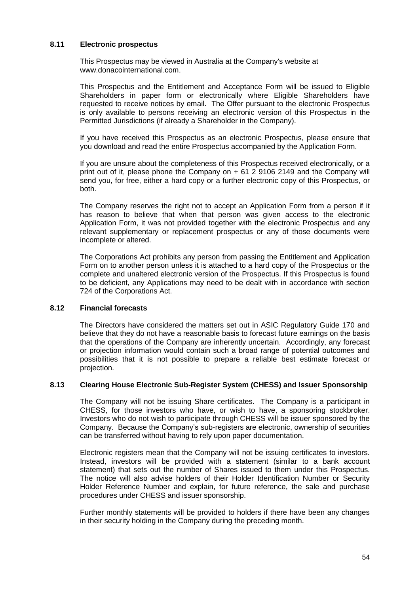## **8.11 Electronic prospectus**

This Prospectus may be viewed in Australia at the Company's website at www.donacointernational.com.

This Prospectus and the Entitlement and Acceptance Form will be issued to Eligible Shareholders in paper form or electronically where Eligible Shareholders have requested to receive notices by email. The Offer pursuant to the electronic Prospectus is only available to persons receiving an electronic version of this Prospectus in the Permitted Jurisdictions (if already a Shareholder in the Company).

If you have received this Prospectus as an electronic Prospectus, please ensure that you download and read the entire Prospectus accompanied by the Application Form.

If you are unsure about the completeness of this Prospectus received electronically, or a print out of it, please phone the Company on  $+ 61 2 9106 2149$  and the Company will send you, for free, either a hard copy or a further electronic copy of this Prospectus, or both.

The Company reserves the right not to accept an Application Form from a person if it has reason to believe that when that person was given access to the electronic Application Form, it was not provided together with the electronic Prospectus and any relevant supplementary or replacement prospectus or any of those documents were incomplete or altered.

The Corporations Act prohibits any person from passing the Entitlement and Application Form on to another person unless it is attached to a hard copy of the Prospectus or the complete and unaltered electronic version of the Prospectus. If this Prospectus is found to be deficient, any Applications may need to be dealt with in accordance with section 724 of the Corporations Act.

## **8.12 Financial forecasts**

The Directors have considered the matters set out in ASIC Regulatory Guide 170 and believe that they do not have a reasonable basis to forecast future earnings on the basis that the operations of the Company are inherently uncertain. Accordingly, any forecast or projection information would contain such a broad range of potential outcomes and possibilities that it is not possible to prepare a reliable best estimate forecast or projection.

## **8.13 Clearing House Electronic Sub-Register System (CHESS) and Issuer Sponsorship**

The Company will not be issuing Share certificates. The Company is a participant in CHESS, for those investors who have, or wish to have, a sponsoring stockbroker. Investors who do not wish to participate through CHESS will be issuer sponsored by the Company. Because the Company's sub-registers are electronic, ownership of securities can be transferred without having to rely upon paper documentation.

Electronic registers mean that the Company will not be issuing certificates to investors. Instead, investors will be provided with a statement (similar to a bank account statement) that sets out the number of Shares issued to them under this Prospectus. The notice will also advise holders of their Holder Identification Number or Security Holder Reference Number and explain, for future reference, the sale and purchase procedures under CHESS and issuer sponsorship.

Further monthly statements will be provided to holders if there have been any changes in their security holding in the Company during the preceding month.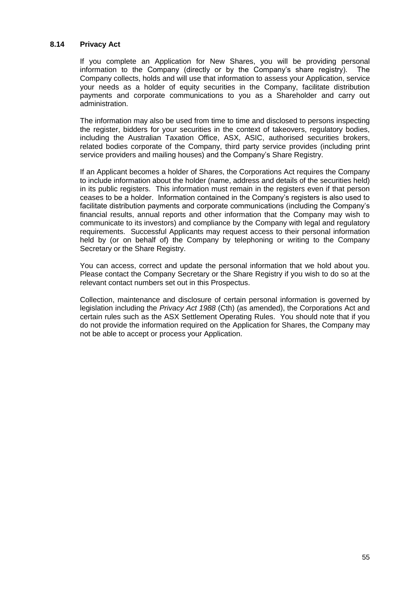#### **8.14 Privacy Act**

If you complete an Application for New Shares, you will be providing personal information to the Company (directly or by the Company's share registry). The Company collects, holds and will use that information to assess your Application, service your needs as a holder of equity securities in the Company, facilitate distribution payments and corporate communications to you as a Shareholder and carry out administration.

The information may also be used from time to time and disclosed to persons inspecting the register, bidders for your securities in the context of takeovers, regulatory bodies, including the Australian Taxation Office, ASX, ASIC, authorised securities brokers, related bodies corporate of the Company, third party service provides (including print service providers and mailing houses) and the Company's Share Registry.

If an Applicant becomes a holder of Shares, the Corporations Act requires the Company to include information about the holder (name, address and details of the securities held) in its public registers. This information must remain in the registers even if that person ceases to be a holder. Information contained in the Company's registers is also used to facilitate distribution payments and corporate communications (including the Company's financial results, annual reports and other information that the Company may wish to communicate to its investors) and compliance by the Company with legal and regulatory requirements. Successful Applicants may request access to their personal information held by (or on behalf of) the Company by telephoning or writing to the Company Secretary or the Share Registry.

You can access, correct and update the personal information that we hold about you. Please contact the Company Secretary or the Share Registry if you wish to do so at the relevant contact numbers set out in this Prospectus.

Collection, maintenance and disclosure of certain personal information is governed by legislation including the *Privacy Act 1988* (Cth) (as amended), the Corporations Act and certain rules such as the ASX Settlement Operating Rules. You should note that if you do not provide the information required on the Application for Shares, the Company may not be able to accept or process your Application.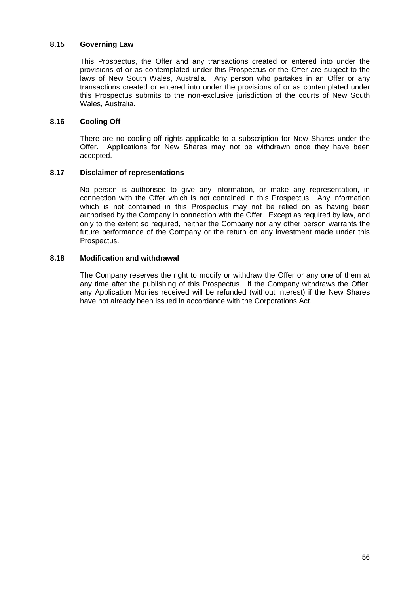## **8.15 Governing Law**

This Prospectus, the Offer and any transactions created or entered into under the provisions of or as contemplated under this Prospectus or the Offer are subject to the laws of New South Wales, Australia. Any person who partakes in an Offer or any transactions created or entered into under the provisions of or as contemplated under this Prospectus submits to the non-exclusive jurisdiction of the courts of New South Wales, Australia.

## **8.16 Cooling Off**

There are no cooling-off rights applicable to a subscription for New Shares under the Offer. Applications for New Shares may not be withdrawn once they have been accepted.

## **8.17 Disclaimer of representations**

No person is authorised to give any information, or make any representation, in connection with the Offer which is not contained in this Prospectus. Any information which is not contained in this Prospectus may not be relied on as having been authorised by the Company in connection with the Offer. Except as required by law, and only to the extent so required, neither the Company nor any other person warrants the future performance of the Company or the return on any investment made under this Prospectus.

## **8.18 Modification and withdrawal**

The Company reserves the right to modify or withdraw the Offer or any one of them at any time after the publishing of this Prospectus. If the Company withdraws the Offer, any Application Monies received will be refunded (without interest) if the New Shares have not already been issued in accordance with the Corporations Act.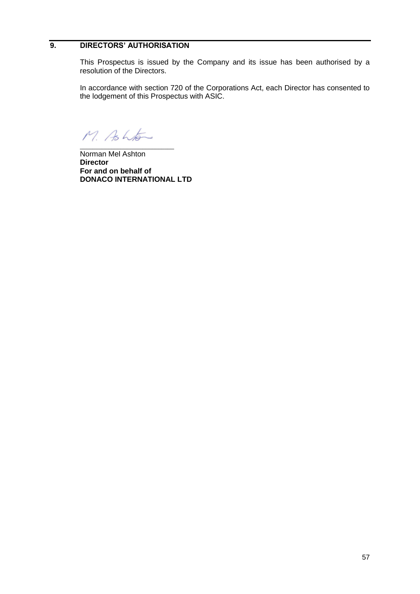# <span id="page-58-0"></span>**9. DIRECTORS' AUTHORISATION**

This Prospectus is issued by the Company and its issue has been authorised by a resolution of the Directors.

In accordance with section 720 of the Corporations Act, each Director has consented to the lodgement of this Prospectus with ASIC.

M. Ashton \_\_\_\_\_\_\_\_\_\_\_\_\_\_\_\_\_\_\_\_\_\_\_\_\_\_\_\_\_\_

Norman Mel Ashton **Director For and on behalf of DONACO INTERNATIONAL LTD**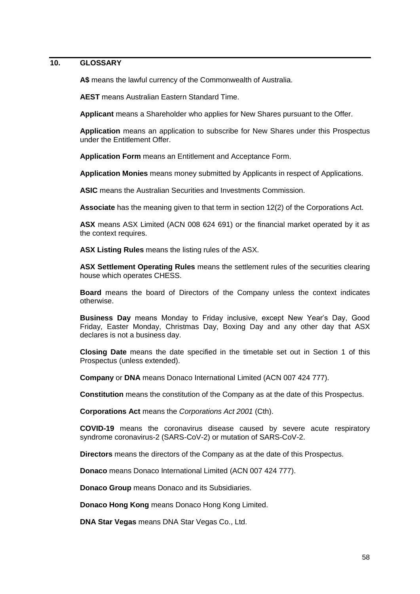## <span id="page-59-0"></span>**10. GLOSSARY**

**A\$** means the lawful currency of the Commonwealth of Australia.

**AEST** means Australian Eastern Standard Time.

**Applicant** means a Shareholder who applies for New Shares pursuant to the Offer.

**Application** means an application to subscribe for New Shares under this Prospectus under the Entitlement Offer.

**Application Form** means an Entitlement and Acceptance Form.

**Application Monies** means money submitted by Applicants in respect of Applications.

**ASIC** means the Australian Securities and Investments Commission.

**Associate** has the meaning given to that term in section 12(2) of the Corporations Act.

**ASX** means ASX Limited (ACN 008 624 691) or the financial market operated by it as the context requires.

**ASX Listing Rules** means the listing rules of the ASX.

**ASX Settlement Operating Rules** means the settlement rules of the securities clearing house which operates CHESS.

**Board** means the board of Directors of the Company unless the context indicates otherwise.

**Business Day** means Monday to Friday inclusive, except New Year's Day, Good Friday, Easter Monday, Christmas Day, Boxing Day and any other day that ASX declares is not a business day.

**Closing Date** means the date specified in the timetable set out in Section 1 of this Prospectus (unless extended).

**Company** or **DNA** means Donaco International Limited (ACN 007 424 777).

**Constitution** means the constitution of the Company as at the date of this Prospectus.

**Corporations Act** means the *Corporations Act 2001* (Cth).

**COVID-19** means the coronavirus disease caused by severe acute respiratory syndrome coronavirus-2 (SARS-CoV-2) or mutation of SARS-CoV-2.

**Directors** means the directors of the Company as at the date of this Prospectus.

**Donaco** means Donaco International Limited (ACN 007 424 777).

**Donaco Group** means Donaco and its Subsidiaries.

**Donaco Hong Kong** means Donaco Hong Kong Limited.

**DNA Star Vegas** means DNA Star Vegas Co., Ltd.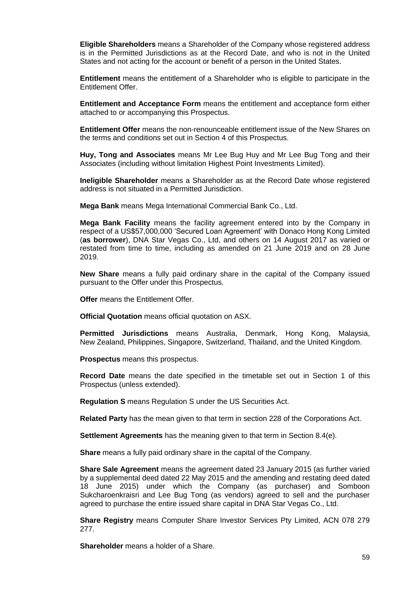**Eligible Shareholders** means a Shareholder of the Company whose registered address is in the Permitted Jurisdictions as at the Record Date, and who is not in the United States and not acting for the account or benefit of a person in the United States.

**Entitlement** means the entitlement of a Shareholder who is eligible to participate in the Entitlement Offer.

**Entitlement and Acceptance Form** means the entitlement and acceptance form either attached to or accompanying this Prospectus.

**Entitlement Offer** means the non-renounceable entitlement issue of the New Shares on the terms and conditions set out in Section 4 of this Prospectus.

**Huy, Tong and Associates** means Mr Lee Bug Huy and Mr Lee Bug Tong and their Associates (including without limitation Highest Point Investments Limited).

**Ineligible Shareholder** means a Shareholder as at the Record Date whose registered address is not situated in a Permitted Jurisdiction.

**Mega Bank** means Mega International Commercial Bank Co., Ltd.

**Mega Bank Facility** means the facility agreement entered into by the Company in respect of a US\$57,000,000 'Secured Loan Agreement' with Donaco Hong Kong Limited (**as borrower**), DNA Star Vegas Co., Ltd, and others on 14 August 2017 as varied or restated from time to time, including as amended on 21 June 2019 and on 28 June 2019.

**New Share** means a fully paid ordinary share in the capital of the Company issued pursuant to the Offer under this Prospectus.

**Offer** means the Entitlement Offer.

**Official Quotation** means official quotation on ASX.

**Permitted Jurisdictions** means Australia, Denmark, Hong Kong, Malaysia, New Zealand, Philippines, Singapore, Switzerland, Thailand, and the United Kingdom.

**Prospectus** means this prospectus.

**Record Date** means the date specified in the timetable set out in Section 1 of this Prospectus (unless extended).

**Regulation S** means Regulation S under the US Securities Act.

**Related Party** has the mean given to that term in section 228 of the Corporations Act.

**Settlement Agreements** has the meaning given to that term in Section 8.4(e).

**Share** means a fully paid ordinary share in the capital of the Company.

**Share Sale Agreement** means the agreement dated 23 January 2015 (as further varied by a supplemental deed dated 22 May 2015 and the amending and restating deed dated 18 June 2015) under which the Company (as purchaser) and Somboon Sukcharoenkraisri and Lee Bug Tong (as vendors) agreed to sell and the purchaser agreed to purchase the entire issued share capital in DNA Star Vegas Co., Ltd.

**Share Registry** means Computer Share Investor Services Pty Limited, ACN 078 279 277.

**Shareholder** means a holder of a Share.